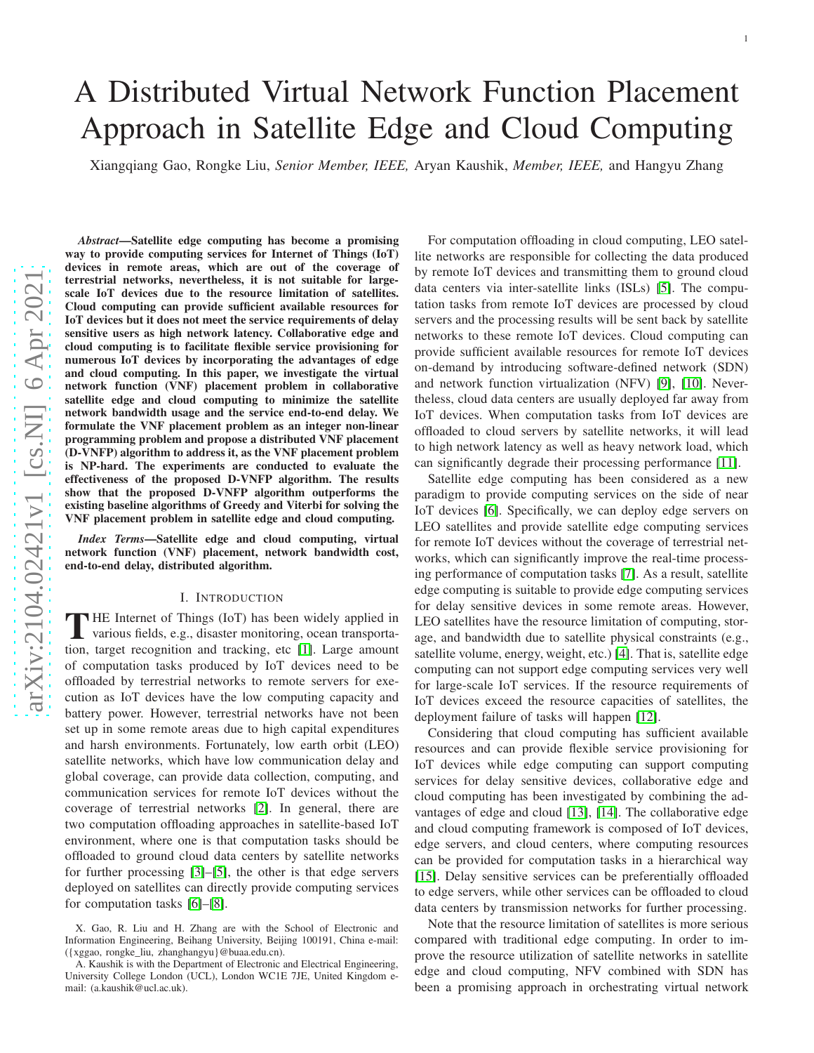# arXiv:2104.02421v1 [cs.NI] 6 Apr 2021 [arXiv:2104.02421v1 \[cs.NI\] 6 Apr 2021](http://arxiv.org/abs/2104.02421v1)

# A Distributed Virtual Network Function Placement Approach in Satellite Edge and Cloud Computing

Xiangqiang Gao, Rongke Liu, *Senior Member, IEEE,* Aryan Kaushik, *Member, IEEE,* and Hangyu Zhang

*Abstract*—Satellite edge computing has become a promising way to provide computing services for Internet of Things (IoT) devices in remote areas, which are out of the coverage of terrestrial networks, nevertheless, it is not suitable for largescale IoT devices due to the resource limitation of satellites. Cloud computing can provide sufficient available resources for IoT devices but it does not meet the service requirements of delay sensitive users as high network latency. Collaborative edge and cloud computing is to facilitate flexible service provisioning for numerous IoT devices by incorporating the advantages of edg e and cloud computing. In this paper, we investigate the virtual network function (VNF) placement problem in collaborative satellite edge and cloud computing to minimize the satellite network bandwidth usage and the service end-to-end delay. We formulate the VNF placement problem as an integer non-linear programming problem and propose a distributed VNF placemen t (D-VNFP) algorithm to address it, as the VNF placement problem is NP-hard. The experiments are conducted to evaluate the effectiveness of the proposed D-VNFP algorithm. The result s show that the proposed D-VNFP algorithm outperforms the existing baseline algorithms of Greedy and Viterbi for solving the VNF placement problem in satellite edge and cloud computing .

*Index Terms*—Satellite edge and cloud computing, virtual network function (VNF) placement, network bandwidth cost, end-to-end delay, distributed algorithm.

### I. INTRODUCTION

THE Internet of Things (IoT) has been widely applied in various fields, e.g., disaster monitoring, ocean transporta-**HE** Internet of Things (IoT) has been widely applied in tion, target recognition and tracking, etc [\[1\]](#page-13-0). Large amount of computation tasks produced by IoT devices need to be offloaded by terrestrial networks to remote servers for execution as IoT devices have the low computing capacity and battery power. However, terrestrial networks have not been set up in some remote areas due to high capital expenditures and harsh environments. Fortunately, low earth orbit (LEO) satellite networks, which have low communication delay and global coverage, can provide data collection, computing, and communication services for remote IoT devices without the coverage of terrestrial networks [\[2\]](#page-13-1). In general, there are two computation offloading approaches in satellite-based IoT environment, where one is that computation tasks should be offloaded to ground cloud data centers by satellite networks for further processing [\[3\]](#page-13-2)–[\[5\]](#page-13-3), the other is that edge servers deployed on satellites can directly provide computing services for computation tasks [\[6\]](#page-13-4)–[\[8\]](#page-13-5).

For computation offloading in cloud computing, LEO satellite networks are responsible for collecting the data produced by remote IoT devices and transmitting them to ground cloud data centers via inter-satellite links (ISLs) [\[5\]](#page-13-3). The computation tasks from remote IoT devices are processed by cloud servers and the processing results will be sent back by satellite networks to these remote IoT devices. Cloud computing can provide sufficient available resources for remote IoT devices on-demand by introducing software-defined network (SDN) and network function virtualization (NFV) [\[9\]](#page-14-0), [\[10\]](#page-14-1). Never theless, cloud data centers are usually deployed far away from IoT devices. When computation tasks from IoT devices are offloaded to cloud servers by satellite networks, it will lea d to high network latency as well as heavy network load, which can significantly degrade their processing performance [\[11\]](#page-14-2).

Satellite edge computing has been considered as a new paradigm to provide computing services on the side of near IoT devices [\[6\]](#page-13-4). Specifically, we can deploy edge servers on LEO satellites and provide satellite edge computing services for remote IoT devices without the coverage of terrestrial networks, which can significantly improve the real-time processing performance of computation tasks [\[7\]](#page-13-6). As a result, satellite edge computing is suitable to provide edge computing services for delay sensitive devices in some remote areas. However, LEO satellites have the resource limitation of computing, storage, and bandwidth due to satellite physical constraints (e.g., satellite volume, energy, weight, etc.) [\[4\]](#page-13-7). That is, satellite edge computing can not support edge computing services very well for large-scale IoT services. If the resource requirements of IoT devices exceed the resource capacities of satellites, the deployment failure of tasks will happen [\[12\]](#page-14-3).

Considering that cloud computing has sufficient available resources and can provide flexible service provisioning for IoT devices while edge computing can support computing services for delay sensitive devices, collaborative edge and cloud computing has been investigated by combining the advantages of edge and cloud [\[13\]](#page-14-4), [\[14\]](#page-14-5). The collaborative edge and cloud computing framework is composed of IoT devices, edge servers, and cloud centers, where computing resources can be provided for computation tasks in a hierarchical way [\[15\]](#page-14-6). Delay sensitive services can be preferentially offloaded to edge servers, while other services can be offloaded to clou d data centers by transmission networks for further processing.

Note that the resource limitation of satellites is more serious compared with traditional edge computing. In order to improve the resource utilization of satellite networks in satellite edge and cloud computing, NFV combined with SDN has been a promising approach in orchestrating virtual network

X. Gao, R. Liu and H. Zhang are with the School of Electronic an d Information Engineering, Beihang University, Beijing 100191, China e-mail: ({xggao, rongke\_liu, zhanghangyu}@buaa.edu.cn).

A. Kaushik is with the Department of Electronic and Electrical Engineering, University College London (UCL), London WC1E 7JE, United Kingdom email: (a.kaushik@ucl.ac.uk).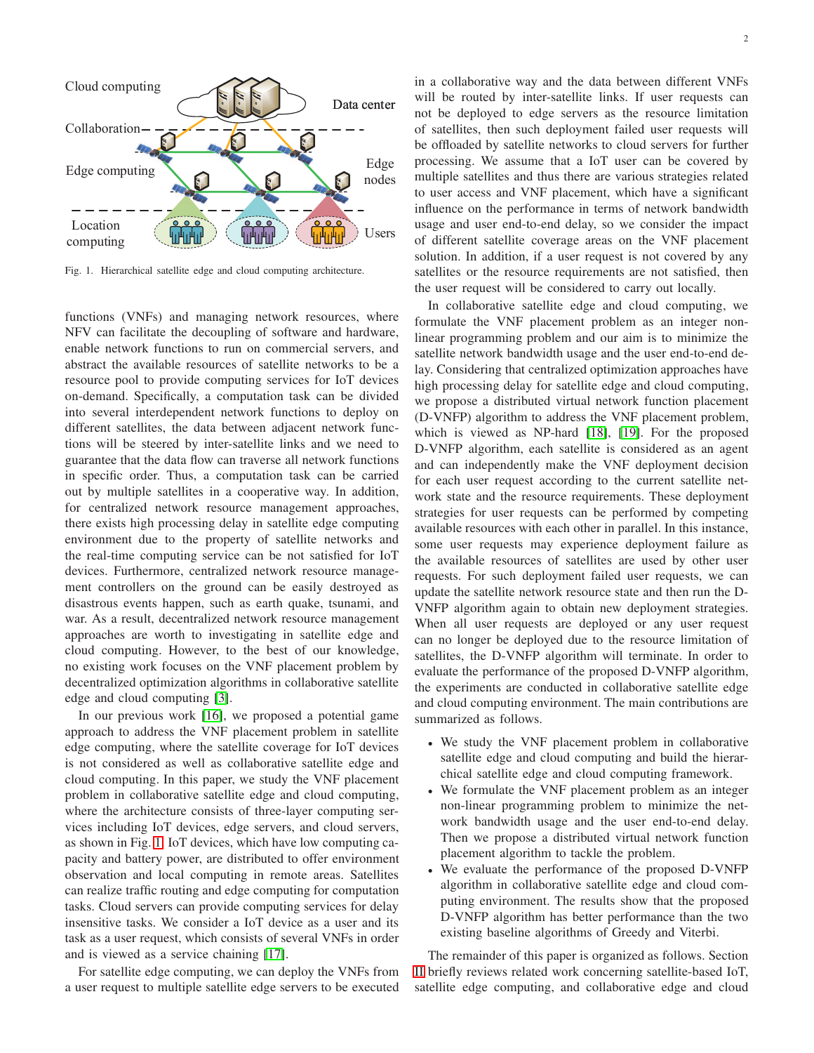

<span id="page-1-0"></span>Fig. 1. Hierarchical satellite edge and cloud computing architecture.

functions (VNFs) and managing network resources, where NFV can facilitate the decoupling of software and hardware, enable network functions to run on commercial servers, and abstract the available resources of satellite networks to be a resource pool to provide computing services for IoT devices on-demand. Specifically, a computation task can be divided into several interdependent network functions to deploy on different satellites, the data between adjacent network functions will be steered by inter-satellite links and we need to guarantee that the data flow can traverse all network functions in specific order. Thus, a computation task can be carried out by multiple satellites in a cooperative way. In addition, for centralized network resource management approaches, there exists high processing delay in satellite edge computing environment due to the property of satellite networks and the real-time computing service can be not satisfied for IoT devices. Furthermore, centralized network resource management controllers on the ground can be easily destroyed as disastrous events happen, such as earth quake, tsunami, and war. As a result, decentralized network resource management approaches are worth to investigating in satellite edge and cloud computing. However, to the best of our knowledge, no existing work focuses on the VNF placement problem by decentralized optimization algorithms in collaborative satellite edge and cloud computing [\[3\]](#page-13-2).

In our previous work [\[16\]](#page-14-7), we proposed a potential game approach to address the VNF placement problem in satellite edge computing, where the satellite coverage for IoT devices is not considered as well as collaborative satellite edge and cloud computing. In this paper, we study the VNF placement problem in collaborative satellite edge and cloud computing, where the architecture consists of three-layer computing services including IoT devices, edge servers, and cloud servers, as shown in Fig. [1.](#page-1-0) IoT devices, which have low computing capacity and battery power, are distributed to offer environment observation and local computing in remote areas. Satellites can realize traffic routing and edge computing for computation tasks. Cloud servers can provide computing services for delay insensitive tasks. We consider a IoT device as a user and its task as a user request, which consists of several VNFs in order and is viewed as a service chaining [\[17\]](#page-14-8).

For satellite edge computing, we can deploy the VNFs from a user request to multiple satellite edge servers to be executed in a collaborative way and the data between different VNFs will be routed by inter-satellite links. If user requests can not be deployed to edge servers as the resource limitation of satellites, then such deployment failed user requests will be offloaded by satellite networks to cloud servers for further processing. We assume that a IoT user can be covered by multiple satellites and thus there are various strategies related to user access and VNF placement, which have a significant influence on the performance in terms of network bandwidth usage and user end-to-end delay, so we consider the impact of different satellite coverage areas on the VNF placement solution. In addition, if a user request is not covered by any satellites or the resource requirements are not satisfied, then the user request will be considered to carry out locally.

In collaborative satellite edge and cloud computing, we formulate the VNF placement problem as an integer nonlinear programming problem and our aim is to minimize the satellite network bandwidth usage and the user end-to-end delay. Considering that centralized optimization approaches have high processing delay for satellite edge and cloud computing, we propose a distributed virtual network function placement (D-VNFP) algorithm to address the VNF placement problem, which is viewed as NP-hard [\[18\]](#page-14-9), [\[19\]](#page-14-10). For the proposed D-VNFP algorithm, each satellite is considered as an agent and can independently make the VNF deployment decision for each user request according to the current satellite network state and the resource requirements. These deployment strategies for user requests can be performed by competing available resources with each other in parallel. In this instance, some user requests may experience deployment failure as the available resources of satellites are used by other user requests. For such deployment failed user requests, we can update the satellite network resource state and then run the D-VNFP algorithm again to obtain new deployment strategies. When all user requests are deployed or any user request can no longer be deployed due to the resource limitation of satellites, the D-VNFP algorithm will terminate. In order to evaluate the performance of the proposed D-VNFP algorithm, the experiments are conducted in collaborative satellite edge and cloud computing environment. The main contributions are summarized as follows.

- We study the VNF placement problem in collaborative satellite edge and cloud computing and build the hierarchical satellite edge and cloud computing framework.
- We formulate the VNF placement problem as an integer non-linear programming problem to minimize the network bandwidth usage and the user end-to-end delay. Then we propose a distributed virtual network function placement algorithm to tackle the problem.
- We evaluate the performance of the proposed D-VNFP algorithm in collaborative satellite edge and cloud computing environment. The results show that the proposed D-VNFP algorithm has better performance than the two existing baseline algorithms of Greedy and Viterbi.

The remainder of this paper is organized as follows. Section [II](#page-2-0) briefly reviews related work concerning satellite-based IoT, satellite edge computing, and collaborative edge and cloud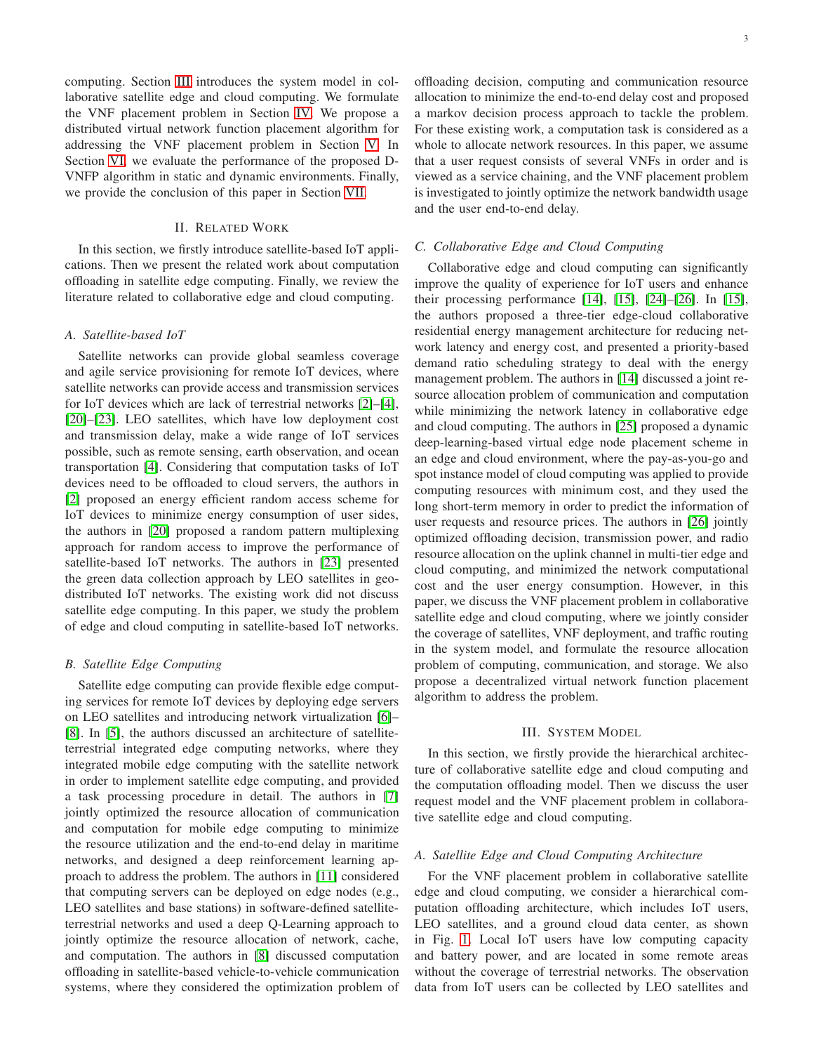computing. Section [III](#page-2-1) introduces the system model in collaborative satellite edge and cloud computing. We formulate the VNF placement problem in Section [IV.](#page-4-0) We propose a distributed virtual network function placement algorithm for addressing the VNF placement problem in Section [V.](#page-7-0) In Section [VI,](#page-11-0) we evaluate the performance of the proposed D-VNFP algorithm in static and dynamic environments. Finally, we provide the conclusion of this paper in Section [VII.](#page-13-8)

# II. RELATED WORK

<span id="page-2-0"></span>In this section, we firstly introduce satellite-based IoT applications. Then we present the related work about computation offloading in satellite edge computing. Finally, we review the literature related to collaborative edge and cloud computing.

### *A. Satellite-based IoT*

Satellite networks can provide global seamless coverage and agile service provisioning for remote IoT devices, where satellite networks can provide access and transmission services for IoT devices which are lack of terrestrial networks [\[2\]](#page-13-1)–[\[4\]](#page-13-7), [\[20\]](#page-14-11)–[\[23\]](#page-14-12). LEO satellites, which have low deployment cost and transmission delay, make a wide range of IoT services possible, such as remote sensing, earth observation, and ocean transportation [\[4\]](#page-13-7). Considering that computation tasks of IoT devices need to be offloaded to cloud servers, the authors in [\[2\]](#page-13-1) proposed an energy efficient random access scheme for IoT devices to minimize energy consumption of user sides, the authors in [\[20\]](#page-14-11) proposed a random pattern multiplexing approach for random access to improve the performance of satellite-based IoT networks. The authors in [\[23\]](#page-14-12) presented the green data collection approach by LEO satellites in geodistributed IoT networks. The existing work did not discuss satellite edge computing. In this paper, we study the problem of edge and cloud computing in satellite-based IoT networks.

### *B. Satellite Edge Computing*

Satellite edge computing can provide flexible edge computing services for remote IoT devices by deploying edge servers on LEO satellites and introducing network virtualization [\[6\]](#page-13-4)– [\[8\]](#page-13-5). In [\[5\]](#page-13-3), the authors discussed an architecture of satelliteterrestrial integrated edge computing networks, where they integrated mobile edge computing with the satellite network in order to implement satellite edge computing, and provided a task processing procedure in detail. The authors in [\[7\]](#page-13-6) jointly optimized the resource allocation of communication and computation for mobile edge computing to minimize the resource utilization and the end-to-end delay in maritime networks, and designed a deep reinforcement learning approach to address the problem. The authors in [\[11\]](#page-14-2) considered that computing servers can be deployed on edge nodes (e.g., LEO satellites and base stations) in software-defined satelliteterrestrial networks and used a deep Q-Learning approach to jointly optimize the resource allocation of network, cache, and computation. The authors in [\[8\]](#page-13-5) discussed computation offloading in satellite-based vehicle-to-vehicle communication systems, where they considered the optimization problem of offloading decision, computing and communication resource allocation to minimize the end-to-end delay cost and proposed a markov decision process approach to tackle the problem. For these existing work, a computation task is considered as a whole to allocate network resources. In this paper, we assume that a user request consists of several VNFs in order and is viewed as a service chaining, and the VNF placement problem is investigated to jointly optimize the network bandwidth usage and the user end-to-end delay.

### *C. Collaborative Edge and Cloud Computing*

Collaborative edge and cloud computing can significantly improve the quality of experience for IoT users and enhance their processing performance [\[14\]](#page-14-5), [\[15\]](#page-14-6), [\[24\]](#page-14-13)–[\[26\]](#page-14-14). In [\[15\]](#page-14-6), the authors proposed a three-tier edge-cloud collaborative residential energy management architecture for reducing network latency and energy cost, and presented a priority-based demand ratio scheduling strategy to deal with the energy management problem. The authors in [\[14\]](#page-14-5) discussed a joint resource allocation problem of communication and computation while minimizing the network latency in collaborative edge and cloud computing. The authors in [\[25\]](#page-14-15) proposed a dynamic deep-learning-based virtual edge node placement scheme in an edge and cloud environment, where the pay-as-you-go and spot instance model of cloud computing was applied to provide computing resources with minimum cost, and they used the long short-term memory in order to predict the information of user requests and resource prices. The authors in [\[26\]](#page-14-14) jointly optimized offloading decision, transmission power, and radio resource allocation on the uplink channel in multi-tier edge and cloud computing, and minimized the network computational cost and the user energy consumption. However, in this paper, we discuss the VNF placement problem in collaborative satellite edge and cloud computing, where we jointly consider the coverage of satellites, VNF deployment, and traffic routing in the system model, and formulate the resource allocation problem of computing, communication, and storage. We also propose a decentralized virtual network function placement algorithm to address the problem.

### III. SYSTEM MODEL

<span id="page-2-1"></span>In this section, we firstly provide the hierarchical architecture of collaborative satellite edge and cloud computing and the computation offloading model. Then we discuss the user request model and the VNF placement problem in collaborative satellite edge and cloud computing.

## *A. Satellite Edge and Cloud Computing Architecture*

For the VNF placement problem in collaborative satellite edge and cloud computing, we consider a hierarchical computation offloading architecture, which includes IoT users, LEO satellites, and a ground cloud data center, as shown in Fig. [1.](#page-1-0) Local IoT users have low computing capacity and battery power, and are located in some remote areas without the coverage of terrestrial networks. The observation data from IoT users can be collected by LEO satellites and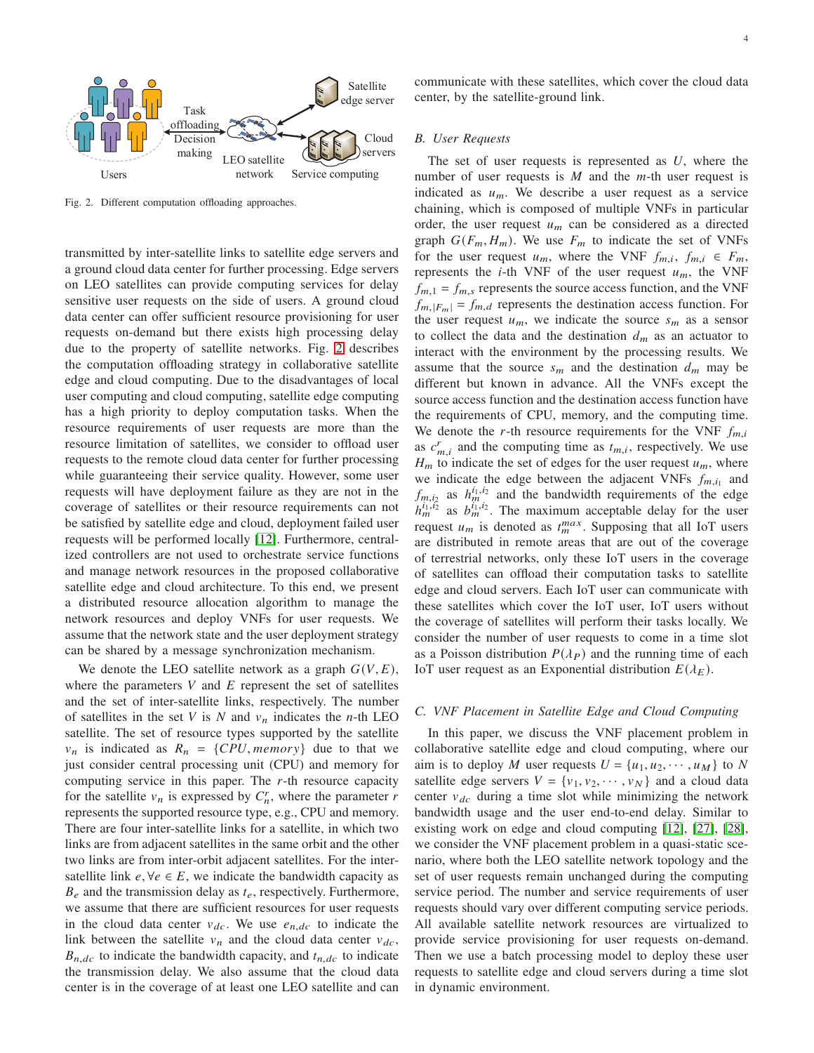

<span id="page-3-0"></span>Fig. 2. Different computation offloading approaches.

transmitted by inter-satellite links to satellite edge servers and a ground cloud data center for further processing. Edge servers on LEO satellites can provide computing services for delay sensitive user requests on the side of users. A ground cloud data center can offer sufficient resource provisioning for user requests on-demand but there exists high processing delay due to the property of satellite networks. Fig. [2](#page-3-0) describes the computation offloading strategy in collaborative satellite edge and cloud computing. Due to the disadvantages of local user computing and cloud computing, satellite edge computing has a high priority to deploy computation tasks. When the resource requirements of user requests are more than the resource limitation of satellites, we consider to offload user requests to the remote cloud data center for further processing while guaranteeing their service quality. However, some user requests will have deployment failure as they are not in the coverage of satellites or their resource requirements can not be satisfied by satellite edge and cloud, deployment failed user requests will be performed locally [\[12\]](#page-14-3). Furthermore, centralized controllers are not used to orchestrate service functions and manage network resources in the proposed collaborative satellite edge and cloud architecture. To this end, we present a distributed resource allocation algorithm to manage the network resources and deploy VNFs for user requests. We assume that the network state and the user deployment strategy can be shared by a message synchronization mechanism.

We denote the LEO satellite network as a graph  $G(V, E)$ , where the parameters  $V$  and  $E$  represent the set of satellites and the set of inter-satellite links, respectively. The number of satellites in the set V is N and  $v_n$  indicates the *n*-th LEO satellite. The set of resource types supported by the satellite  $v_n$  is indicated as  $R_n = \{CPU, memory\}$  due to that we just consider central processing unit (CPU) and memory for computing service in this paper. The  $r$ -th resource capacity for the satellite  $v_n$  is expressed by  $C_n^r$ , where the parameter  $r$ represents the supported resource type, e.g., CPU and memory. There are four inter-satellite links for a satellite, in which two links are from adjacent satellites in the same orbit and the other two links are from inter-orbit adjacent satellites. For the intersatellite link  $e, \forall e \in E$ , we indicate the bandwidth capacity as  $B_e$  and the transmission delay as  $t_e$ , respectively. Furthermore, we assume that there are sufficient resources for user requests in the cloud data center  $v_{dc}$ . We use  $e_{n,dc}$  to indicate the link between the satellite  $v_n$  and the cloud data center  $v_{dc}$ ,  $B_{n,dc}$  to indicate the bandwidth capacity, and  $t_{n,dc}$  to indicate the transmission delay. We also assume that the cloud data center is in the coverage of at least one LEO satellite and can

communicate with these satellites, which cover the cloud data center, by the satellite-ground link.

### *B. User Requests*

The set of user requests is represented as  $U$ , where the number of user requests is  $M$  and the  $m$ -th user request is indicated as  $u_m$ . We describe a user request as a service chaining, which is composed of multiple VNFs in particular order, the user request  $u_m$  can be considered as a directed graph  $G(F_m, H_m)$ . We use  $F_m$  to indicate the set of VNFs for the user request  $u_m$ , where the VNF  $f_{m,i}$ ,  $f_{m,i} \in F_m$ , represents the *i*-th VNF of the user request  $u_m$ , the VNF  $f_{m,1} = f_{m,s}$  represents the source access function, and the VNF  $f_{m,|F_m|} = f_{m,d}$  represents the destination access function. For the user request  $u_m$ , we indicate the source  $s_m$  as a sensor to collect the data and the destination  $d_m$  as an actuator to interact with the environment by the processing results. We assume that the source  $s_m$  and the destination  $d_m$  may be different but known in advance. All the VNFs except the source access function and the destination access function have the requirements of CPU, memory, and the computing time. We denote the r-th resource requirements for the VNF  $f_{m,i}$ as  $c_{m,i}^r$  and the computing time as  $t_{m,i}$ , respectively. We use  $H_m$  to indicate the set of edges for the user request  $u_m$ , where we indicate the edge between the adjacent VNFs  $f_{m,i_1}$  and  $f_{m,i_2}$  as  $h_m^{i_1,i_2}$  and the bandwidth requirements of the edge  $h_m^{i_1,i_2}$  as  $b_m^{i_1,i_2}$ . The maximum acceptable delay for the user request  $u_m$  is denoted as  $t_m^{max}$ . Supposing that all IoT users are distributed in remote areas that are out of the coverage of terrestrial networks, only these IoT users in the coverage of satellites can offload their computation tasks to satellite edge and cloud servers. Each IoT user can communicate with these satellites which cover the IoT user, IoT users without the coverage of satellites will perform their tasks locally. We consider the number of user requests to come in a time slot as a Poisson distribution  $P(\lambda_P)$  and the running time of each IoT user request as an Exponential distribution  $E(\lambda_E)$ .

### *C. VNF Placement in Satellite Edge and Cloud Computing*

In this paper, we discuss the VNF placement problem in collaborative satellite edge and cloud computing, where our aim is to deploy M user requests  $U = \{u_1, u_2, \dots, u_M\}$  to N satellite edge servers  $V = \{v_1, v_2, \dots, v_N\}$  and a cloud data center  $v_{dc}$  during a time slot while minimizing the network bandwidth usage and the user end-to-end delay. Similar to existing work on edge and cloud computing [\[12\]](#page-14-3), [\[27\]](#page-14-16), [\[28\]](#page-14-17), we consider the VNF placement problem in a quasi-static scenario, where both the LEO satellite network topology and the set of user requests remain unchanged during the computing service period. The number and service requirements of user requests should vary over different computing service periods. All available satellite network resources are virtualized to provide service provisioning for user requests on-demand. Then we use a batch processing model to deploy these user requests to satellite edge and cloud servers during a time slot in dynamic environment.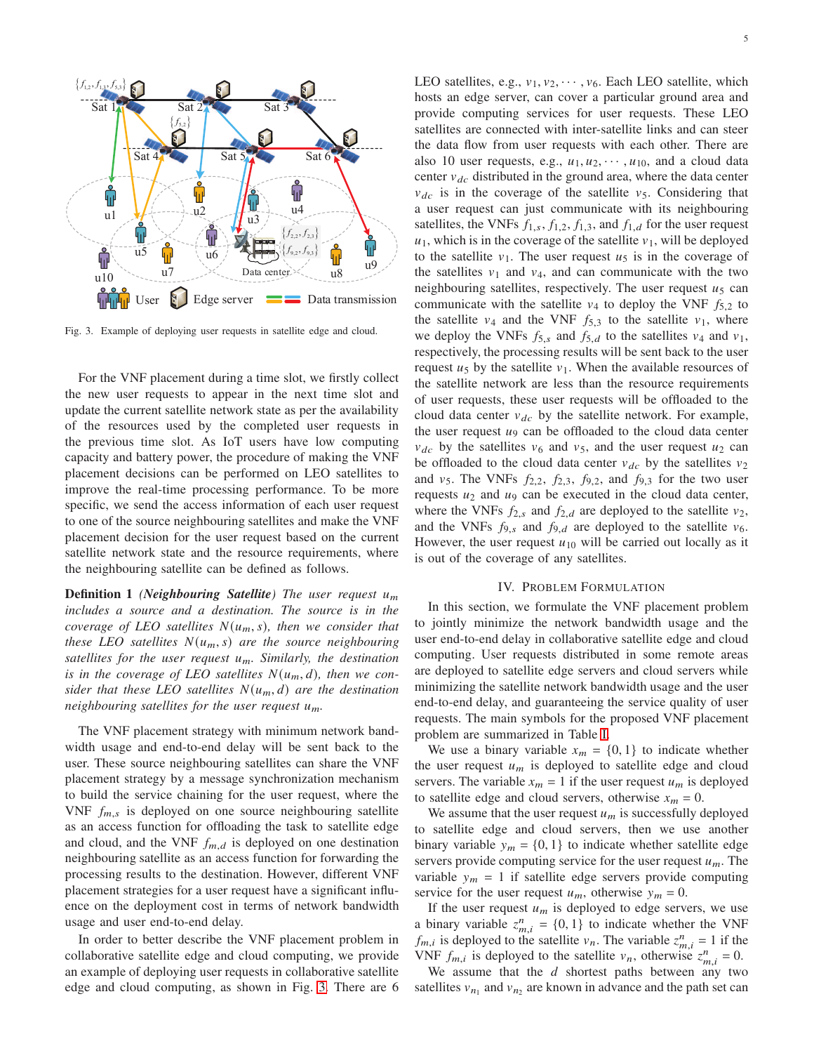

<span id="page-4-1"></span>Fig. 3. Example of deploying user requests in satellite edge and cloud.

For the VNF placement during a time slot, we firstly collect the new user requests to appear in the next time slot and update the current satellite network state as per the availability of the resources used by the completed user requests in the previous time slot. As IoT users have low computing capacity and battery power, the procedure of making the VNF placement decisions can be performed on LEO satellites to improve the real-time processing performance. To be more specific, we send the access information of each user request to one of the source neighbouring satellites and make the VNF placement decision for the user request based on the current satellite network state and the resource requirements, where the neighbouring satellite can be defined as follows.

**Definition 1** *(Neighbouring Satellite)* The user request  $u_m$ *includes a source and a destination. The source is in the coverage of LEO satellites*  $N(u_m, s)$ *, then we consider that these LEO satellites*  $N(u_m, s)$  *are the source neighbouring satellites for the user request u<sub>m</sub>. Similarly, the destination* is in the coverage of LEO satellites  $N(u_m, d)$ , then we con*sider that these LEO satellites*  $N(u_m, d)$  *are the destination neighbouring satellites for the user request*  $u_m$ *.* 

The VNF placement strategy with minimum network bandwidth usage and end-to-end delay will be sent back to the user. These source neighbouring satellites can share the VNF placement strategy by a message synchronization mechanism to build the service chaining for the user request, where the VNF  $f_{m,s}$  is deployed on one source neighbouring satellite as an access function for offloading the task to satellite edge and cloud, and the VNF  $f_{m,d}$  is deployed on one destination neighbouring satellite as an access function for forwarding the processing results to the destination. However, different VNF placement strategies for a user request have a significant influence on the deployment cost in terms of network bandwidth usage and user end-to-end delay.

In order to better describe the VNF placement problem in collaborative satellite edge and cloud computing, we provide an example of deploying user requests in collaborative satellite edge and cloud computing, as shown in Fig. [3.](#page-4-1) There are 6 LEO satellites, e.g.,  $v_1, v_2, \dots, v_6$ . Each LEO satellite, which hosts an edge server, can cover a particular ground area and provide computing services for user requests. These LEO satellites are connected with inter-satellite links and can steer the data flow from user requests with each other. There are also 10 user requests, e.g.,  $u_1, u_2, \dots, u_{10}$ , and a cloud data center  $v_{dc}$  distributed in the ground area, where the data center  $v_{dc}$  is in the coverage of the satellite  $v_5$ . Considering that a user request can just communicate with its neighbouring satellites, the VNFs  $f_{1,s}$ ,  $f_{1,2}$ ,  $f_{1,3}$ , and  $f_{1,d}$  for the user request  $u_1$ , which is in the coverage of the satellite  $v_1$ , will be deployed to the satellite  $v_1$ . The user request  $u_5$  is in the coverage of the satellites  $v_1$  and  $v_4$ , and can communicate with the two neighbouring satellites, respectively. The user request  $u_5$  can communicate with the satellite  $v_4$  to deploy the VNF  $f_{5,2}$  to the satellite  $v_4$  and the VNF  $f_{5,3}$  to the satellite  $v_1$ , where we deploy the VNFs  $f_{5,s}$  and  $f_{5,d}$  to the satellites  $v_4$  and  $v_1$ , respectively, the processing results will be sent back to the user request  $u_5$  by the satellite  $v_1$ . When the available resources of the satellite network are less than the resource requirements of user requests, these user requests will be offloaded to the cloud data center  $v_{dc}$  by the satellite network. For example, the user request  $u_9$  can be offloaded to the cloud data center  $v_{dc}$  by the satellites  $v_6$  and  $v_5$ , and the user request  $u_2$  can be offloaded to the cloud data center  $v_{dc}$  by the satellites  $v_2$ and  $v_5$ . The VNFs  $f_{2,2}$ ,  $f_{2,3}$ ,  $f_{9,2}$ , and  $f_{9,3}$  for the two user requests  $u_2$  and  $u_9$  can be executed in the cloud data center, where the VNFs  $f_{2,s}$  and  $f_{2,d}$  are deployed to the satellite  $v_2$ , and the VNFs  $f_{9,s}$  and  $f_{9,d}$  are deployed to the satellite  $v_6$ . However, the user request  $u_{10}$  will be carried out locally as it is out of the coverage of any satellites.

### IV. PROBLEM FORMULATION

<span id="page-4-0"></span>In this section, we formulate the VNF placement problem to jointly minimize the network bandwidth usage and the user end-to-end delay in collaborative satellite edge and cloud computing. User requests distributed in some remote areas are deployed to satellite edge servers and cloud servers while minimizing the satellite network bandwidth usage and the user end-to-end delay, and guaranteeing the service quality of user requests. The main symbols for the proposed VNF placement problem are summarized in Table [I.](#page-5-0)

We use a binary variable  $x_m = \{0, 1\}$  to indicate whether the user request  $u_m$  is deployed to satellite edge and cloud servers. The variable  $x_m = 1$  if the user request  $u_m$  is deployed to satellite edge and cloud servers, otherwise  $x_m = 0$ .

We assume that the user request  $u_m$  is successfully deployed to satellite edge and cloud servers, then we use another binary variable  $y_m = \{0, 1\}$  to indicate whether satellite edge servers provide computing service for the user request  $u_m$ . The variable  $y_m = 1$  if satellite edge servers provide computing service for the user request  $u_m$ , otherwise  $y_m = 0$ .

If the user request  $u_m$  is deployed to edge servers, we use a binary variable  $z_{m,i}^{n} = \{0, 1\}$  to indicate whether the VNF  $f_{m,i}$  is deployed to the satellite  $v_n$ . The variable  $z_{m,i}^n = 1$  if the VNF  $f_{m,i}$  is deployed to the satellite  $v_n$ , otherwise  $z_{m,i}^n = 0$ .

We assume that the  $d$  shortest paths between any two satellites  $v_{n_1}$  and  $v_{n_2}$  are known in advance and the path set can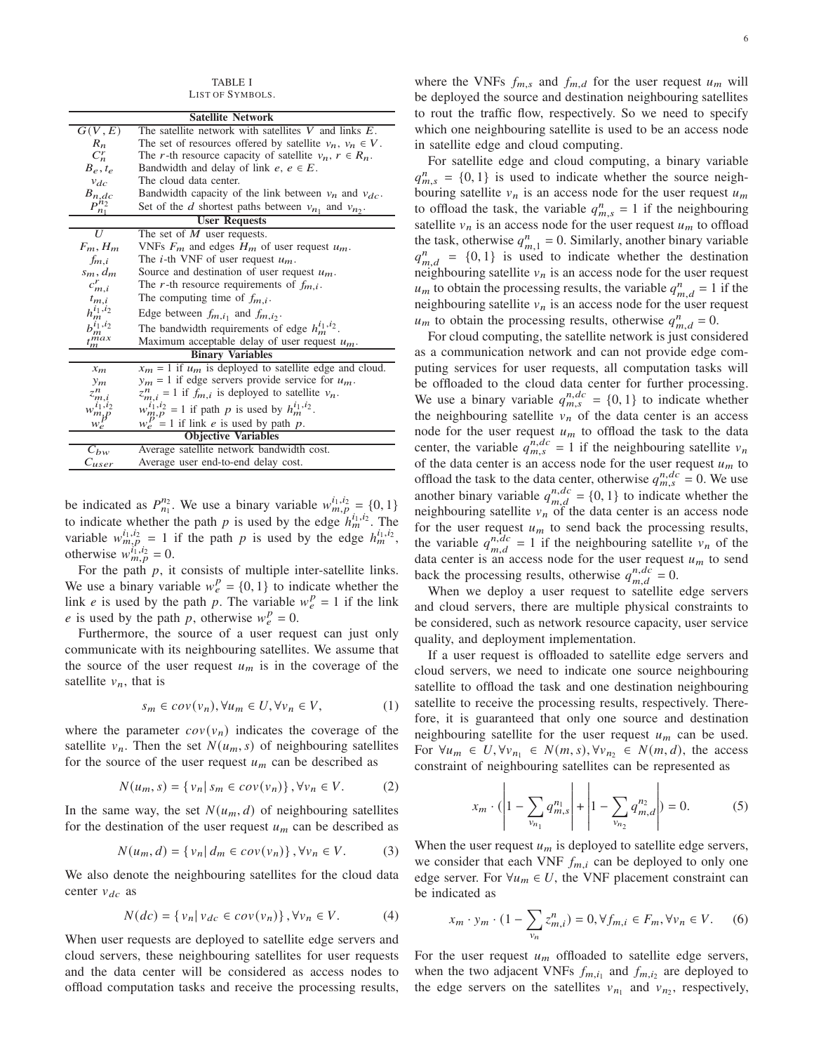TABLE I LIST OF SYMBOLS.

<span id="page-5-0"></span>

| <b>Satellite Network</b>   |                                                                 |  |  |
|----------------------------|-----------------------------------------------------------------|--|--|
| G(V,E)                     | The satellite network with satellites $V$ and links $E$ .       |  |  |
| $R_n$                      | The set of resources offered by satellite $v_n$ , $v_n \in V$ . |  |  |
| $C_n^r$                    | The r-th resource capacity of satellite $v_n$ , $r \in R_n$ .   |  |  |
| $B_e, t_e$                 | Bandwidth and delay of link $e, e \in E$ .                      |  |  |
| $v_{dc}$                   | The cloud data center.                                          |  |  |
| $B_{n,dc}$                 | Bandwidth capacity of the link between $v_n$ and $v_{dc}$ .     |  |  |
| $P_{n_1}^{n_2}$            | Set of the d shortest paths between $v_{n_1}$ and $v_{n_2}$ .   |  |  |
| <b>User Requests</b>       |                                                                 |  |  |
| $\overline{U}$             | The set of $M$ user requests.                                   |  |  |
| $F_m$ , $H_m$              | VNFs $F_m$ and edges $H_m$ of user request $u_m$ .              |  |  |
| $f_{m,i}$                  | The <i>i</i> -th VNF of user request $u_m$ .                    |  |  |
| $s_m, d_m$                 | Source and destination of user request $u_m$ .                  |  |  |
| $c_{m,i}^r$                | The r-th resource requirements of $f_{m,i}$ .                   |  |  |
| $t_{m,i}$                  | The computing time of $f_{m,i}$ .                               |  |  |
| $h_m^{i_1,i_2}$            | Edge between $f_{m,i_1}$ and $f_{m,i_2}$ .                      |  |  |
| $b_m^{i_1,i_2}$            | The bandwidth requirements of edge $h_m^{i_1,i_2}$ .            |  |  |
| $t_m^{max}$                | Maximum acceptable delay of user request $u_m$ .                |  |  |
| <b>Binary Variables</b>    |                                                                 |  |  |
| $x_m$                      | $x_m = 1$ if $u_m$ is deployed to satellite edge and cloud.     |  |  |
| $y_m$                      | $y_m = 1$ if edge servers provide service for $u_m$ .           |  |  |
| $z^n_{m,i}$                | $z_{m,i}^{n} = 1$ if $f_{m,i}$ is deployed to satellite $v_n$ . |  |  |
| $w^{i_1,i_2}_{m,p}$        | $w_{m,p}^{i_1,i_2} = 1$ if path p is used by $h_m^{i_1,i_2}$ .  |  |  |
| $w_e^p$                    | $w_e^P = 1$ if link <i>e</i> is used by path <i>p</i> .         |  |  |
| <b>Objective Variables</b> |                                                                 |  |  |
| $C_{bw}$                   | Average satellite network bandwidth cost.                       |  |  |
| $c_{user}$                 | Average user end-to-end delay cost.                             |  |  |

be indicated as  $P_{n_1}^{n_2}$ . We use a binary variable  $w_{m,p}^{i_1,i_2} = \{0,1\}$ to indicate whether the path p is used by the edge  $h_m^{i_1, i_2}$ . The variable  $w_{m,p}^{i_1,i_2} = 1$  if the path p is used by the edge  $h_m^{i_1,i_2}$ , otherwise  $w_{m,p}^{i_1,i_2} = 0$ .

For the path  $p$ , it consists of multiple inter-satellite links. We use a binary variable  $w_e^p = \{0, 1\}$  to indicate whether the link *e* is used by the path *p*. The variable  $w_e^p = 1$  if the link e is used by the path p, otherwise  $w_e^p = 0$ .

Furthermore, the source of a user request can just only communicate with its neighbouring satellites. We assume that the source of the user request  $u_m$  is in the coverage of the satellite  $v_n$ , that is

<span id="page-5-1"></span>
$$
s_m \in cov(v_n), \forall u_m \in U, \forall v_n \in V,
$$
 (1)

where the parameter  $cov(v_n)$  indicates the coverage of the satellite  $v_n$ . Then the set  $N(u_m, s)$  of neighbouring satellites for the source of the user request  $u_m$  can be described as

$$
N(u_m, s) = \{v_n | s_m \in cov(v_n)\}, \forall v_n \in V.
$$
 (2)

In the same way, the set  $N(u_m, d)$  of neighbouring satellites for the destination of the user request  $u_m$  can be described as

$$
N(u_m, d) = \{ v_n | d_m \in cov(v_n) \}, \forall v_n \in V.
$$
 (3)

We also denote the neighbouring satellites for the cloud data center  $v_{dc}$  as

$$
N(dc) = \{v_n | v_{dc} \in cov(v_n)\}, \forall v_n \in V.
$$
 (4)

When user requests are deployed to satellite edge servers and cloud servers, these neighbouring satellites for user requests and the data center will be considered as access nodes to offload computation tasks and receive the processing results,

where the VNFs  $f_{m,s}$  and  $f_{m,d}$  for the user request  $u_m$  will be deployed the source and destination neighbouring satellites to rout the traffic flow, respectively. So we need to specify which one neighbouring satellite is used to be an access node in satellite edge and cloud computing.

For satellite edge and cloud computing, a binary variable  $q_{m,s}^n = \{0, 1\}$  is used to indicate whether the source neighbouring satellite  $v_n$  is an access node for the user request  $u_m$ to offload the task, the variable  $q_{m,s}^n = 1$  if the neighbouring satellite  $v_n$  is an access node for the user request  $u_m$  to offload the task, otherwise  $q_{m,1}^n = 0$ . Similarly, another binary variable  $q_{m,d}^n = \{0,1\}$  is used to indicate whether the destination neighbouring satellite  $v_n$  is an access node for the user request  $u_m$  to obtain the processing results, the variable  $q_{m,d}^n = 1$  if the neighbouring satellite  $v_n$  is an access node for the user request  $u_m$  to obtain the processing results, otherwise  $q_{m,d}^n = 0$ .

For cloud computing, the satellite network is just considered as a communication network and can not provide edge computing services for user requests, all computation tasks will be offloaded to the cloud data center for further processing. We use a binary variable  $q_{m,s}^{n,d,c} = \{0,1\}$  to indicate whether the neighbouring satellite  $v_n$  of the data center is an access node for the user request  $u_m$  to offload the task to the data center, the variable  $q_{m,s}^{n,dc} = 1$  if the neighbouring satellite  $v_n$ of the data center is an access node for the user request  $u_m$  to offload the task to the data center, otherwise  $q_{m,s}^{n,dc} = 0$ . We use another binary variable  $q_{m,d}^{n,dc} = \{0, 1\}$  to indicate whether the neighbouring satellite  $v_n$  of the data center is an access node for the user request  $u_m$  to send back the processing results, the variable  $q_{m,d}^{n,\bar{d}c} = 1$  if the neighbouring satellite  $v_n$  of the data center is an access node for the user request  $u_m$  to send back the processing results, otherwise  $q_{m,d}^{n,dc} = 0$ .

When we deploy a user request to satellite edge servers and cloud servers, there are multiple physical constraints to be considered, such as network resource capacity, user service quality, and deployment implementation.

If a user request is offloaded to satellite edge servers and cloud servers, we need to indicate one source neighbouring satellite to offload the task and one destination neighbouring satellite to receive the processing results, respectively. Therefore, it is guaranteed that only one source and destination neighbouring satellite for the user request  $u_m$  can be used. For  $\forall u_m \in U, \forall v_{n_1} \in N(m, s), \forall v_{n_2} \in N(m, d)$ , the access constraint of neighbouring satellites can be represented as

$$
x_m \cdot \left( 1 - \sum_{\nu_{n_1}} q_{m,s}^{n_1} \right) + \left| 1 - \sum_{\nu_{n_2}} q_{m,d}^{n_2} \right| = 0.
$$
 (5)

When the user request  $u_m$  is deployed to satellite edge servers, we consider that each VNF  $f_{m,i}$  can be deployed to only one edge server. For  $\forall u_m \in U$ , the VNF placement constraint can be indicated as

$$
x_m \cdot y_m \cdot (1 - \sum_{v_n} z^n_{m,i}) = 0, \forall f_{m,i} \in F_m, \forall v_n \in V. \tag{6}
$$

For the user request  $u_m$  offloaded to satellite edge servers, when the two adjacent VNFs  $f_{m,i_1}$  and  $f_{m,i_2}$  are deployed to the edge servers on the satellites  $v_{n_1}$  and  $v_{n_2}$ , respectively,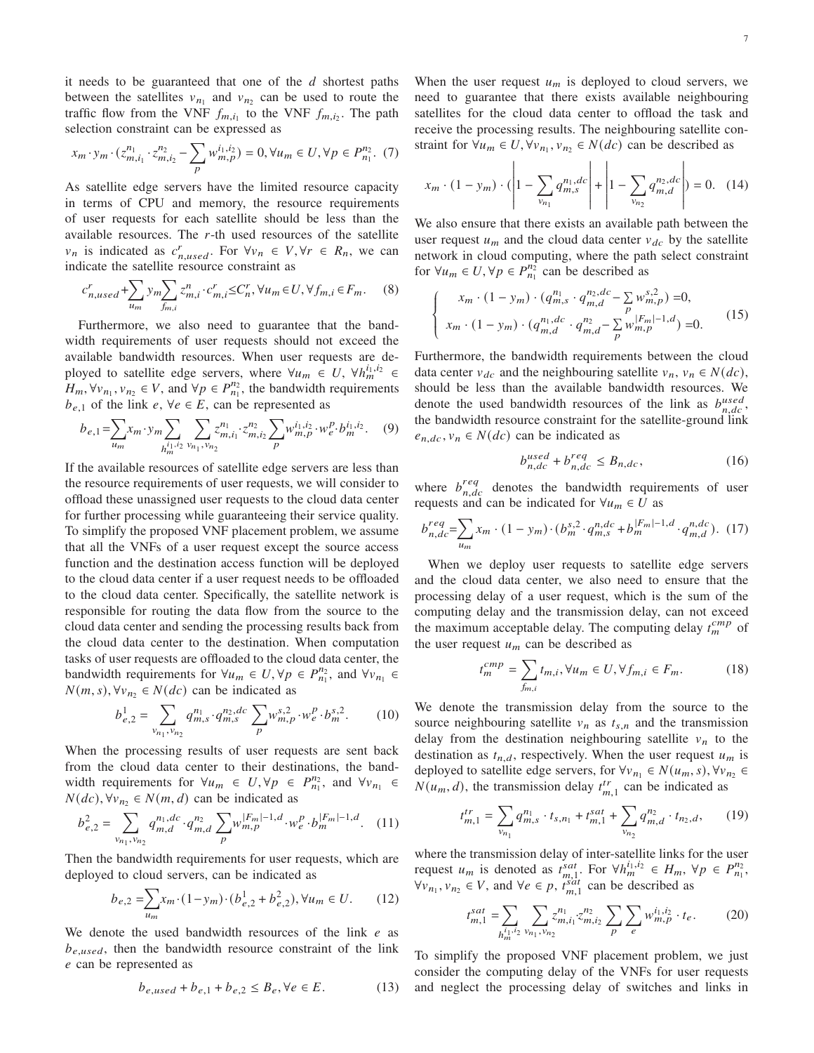it needs to be guaranteed that one of the  $d$  shortest paths between the satellites  $v_{n_1}$  and  $v_{n_2}$  can be used to route the traffic flow from the VNF  $f_{m,i_1}$  to the VNF  $f_{m,i_2}$ . The path selection constraint can be expressed as

$$
x_m \cdot y_m \cdot (z_{m,i_1}^{n_1} \cdot z_{m,i_2}^{n_2} - \sum_p w_{m,p}^{i_1,i_2}) = 0, \forall u_m \in U, \forall p \in P_{n_1}^{n_2}.
$$
 (7)

As satellite edge servers have the limited resource capacity in terms of CPU and memory, the resource requirements of user requests for each satellite should be less than the available resources. The  $r$ -th used resources of the satellite  $v_n$  is indicated as  $c_{n,used}^r$ . For  $\forall v_n \in V, \forall r \in R_n$ , we can indicate the satellite resource constraint as

$$
c_{n,used}^r + \sum_{u_m} y_m \sum_{f_{m,i}} z_{m,i}^n \cdot c_{m,i}^r \leq C_n^r, \forall u_m \in U, \forall f_{m,i} \in F_m.
$$
 (8)

Furthermore, we also need to guarantee that the bandwidth requirements of user requests should not exceed the available bandwidth resources. When user requests are deployed to satellite edge servers, where  $\forall u_m \in U$ ,  $\forall h_m^{i_1, i_2} \in$  $H_m, \forall v_{n_1}, v_{n_2} \in V$ , and  $\forall p \in P_{n_1}^{n_2}$ , the bandwidth requirements  $b_{e,1}$  of the link  $e, \forall e \in E$ , can be represented as

$$
b_{e,1} = \sum_{u_m} x_m \cdot y_m \sum_{\substack{i_1, i_2 \\ h_m^{i_1, i_2} \vee h_1, \nu_{h_2}}} \sum_{v_{n_1}, v_{n_2}} z_{m, i_1}^{n_1} \cdot z_{m, i_2}^{n_2} \sum_{p} w_{m, p}^{i_1, i_2} \cdot w_e^{p} \cdot b_m^{i_1, i_2}.
$$
 (9)

If the available resources of satellite edge servers are less than the resource requirements of user requests, we will consider to offload these unassigned user requests to the cloud data center for further processing while guaranteeing their service quality. To simplify the proposed VNF placement problem, we assume that all the VNFs of a user request except the source access function and the destination access function will be deployed to the cloud data center if a user request needs to be offloaded to the cloud data center. Specifically, the satellite network is responsible for routing the data flow from the source to the cloud data center and sending the processing results back from the cloud data center to the destination. When computation tasks of user requests are offloaded to the cloud data center, the bandwidth requirements for  $\forall u_m \in U, \forall p \in P_{n_1}^{n_2}$ , and  $\forall v_{n_1} \in$  $N(m, s)$ ,  $\forall v_n \in N(dc)$  can be indicated as

$$
b_{e,2}^1 = \sum_{v_{n_1}, v_{n_2}} q_{m,s}^{n_1} \cdot q_{m,s}^{n_2, dc} \sum_p w_{m,p}^{s,2} \cdot w_e^p \cdot b_m^{s,2}.
$$
 (10)

When the processing results of user requests are sent back from the cloud data center to their destinations, the bandwidth requirements for  $\forall u_m \in U, \forall p \in P_{n_1}^{n_2}$ , and  $\forall v_{n_1} \in$  $N(dc)$ ,  $\forall v_n \in N(m, d)$  can be indicated as

$$
b_{e,2}^2 = \sum_{v_{n_1}, v_{n_2}} q_{m,d}^{n_1,dc} \cdot q_{m,d}^{n_2} \sum_{p} w_{m,p}^{|F_m|-1,d} \cdot w_e^p \cdot b_m^{|F_m|-1,d}.
$$
 (11)

Then the bandwidth requirements for user requests, which are deployed to cloud servers, can be indicated as

$$
b_{e,2} = \sum_{u_m} x_m \cdot (1 - y_m) \cdot (b_{e,2}^1 + b_{e,2}^2), \forall u_m \in U. \tag{12}
$$

We denote the used bandwidth resources of the link  $e$  as  $b_{e, used}$ , then the bandwidth resource constraint of the link e can be represented as

$$
b_{e,used} + b_{e,1} + b_{e,2} \le B_e, \forall e \in E.
$$
 (13)

When the user request  $u_m$  is deployed to cloud servers, we need to guarantee that there exists available neighbouring satellites for the cloud data center to offload the task and receive the processing results. The neighbouring satellite constraint for  $\forall u_m \in U, \forall v_{n_1}, v_{n_2} \in N(dc)$  can be described as

$$
x_m \cdot (1 - y_m) \cdot \left(1 - \sum_{\nu_{n_1}} q_{m,s}^{n_1,dc} \right) + \left|1 - \sum_{\nu_{n_2}} q_{m,d}^{n_2,dc}\right| = 0. \quad (14)
$$

We also ensure that there exists an available path between the user request  $u_m$  and the cloud data center  $v_{dc}$  by the satellite network in cloud computing, where the path select constraint for  $\forall u_m \in U, \forall p \in P_{n_1}^{n_2}$  can be described as

$$
\begin{cases}\n x_m \cdot (1 - y_m) \cdot (q_{m,s}^{n_1} \cdot q_{m,d}^{n_2,dc} - \sum_{p} w_{m,p}^{s,2}) = 0, \\
x_m \cdot (1 - y_m) \cdot (q_{m,d}^{n_1,dc} \cdot q_{m,d}^{n_2} - \sum_{p} w_{m,p}^{|F_m| - 1,d}) = 0.\n\end{cases}
$$
\n(15)

Furthermore, the bandwidth requirements between the cloud data center  $v_{dc}$  and the neighbouring satellite  $v_n$ ,  $v_n \in N(dc)$ , should be less than the available bandwidth resources. We denote the used bandwidth resources of the link as  $b_{n,dc}^{used}$ , the bandwidth resource constraint for the satellite-ground link  $e_{n,dc}$ ,  $v_n \in N(dc)$  can be indicated as

$$
b_{n,dc}^{used} + b_{n,dc}^{req} \le B_{n,dc},\tag{16}
$$

where  $b_{n,dc}^{req}$  denotes the bandwidth requirements of user requests and can be indicated for  $\forall u_m \in U$  as

$$
b_{n,dc}^{req} = \sum_{u_m} x_m \cdot (1 - y_m) \cdot (b_m^{s,2} \cdot q_{m,s}^{n,dc} + b_m^{|F_m| - 1,d} \cdot q_{m,d}^{n,dc}). \tag{17}
$$

When we deploy user requests to satellite edge servers and the cloud data center, we also need to ensure that the processing delay of a user request, which is the sum of the computing delay and the transmission delay, can not exceed the maximum acceptable delay. The computing delay  $t_m^{cmp}$  of the user request  $u_m$  can be described as

$$
t_m^{cmp} = \sum_{f_{m,i}} t_{m,i}, \forall u_m \in U, \forall f_{m,i} \in F_m.
$$
 (18)

We denote the transmission delay from the source to the source neighbouring satellite  $v_n$  as  $t_{s,n}$  and the transmission delay from the destination neighbouring satellite  $v_n$  to the destination as  $t_{n,d}$ , respectively. When the user request  $u_m$  is deployed to satellite edge servers, for  $\forall v_{n_1} \in N(u_m, s)$ ,  $\forall v_{n_2} \in$  $N(u_m, d)$ , the transmission delay  $t_{m,1}^{tr}$  can be indicated as

$$
t_{m,1}^{tr} = \sum_{v_{n_1}} q_{m,s}^{n_1} \cdot t_{s,n_1} + t_{m,1}^{sat} + \sum_{v_{n_2}} q_{m,d}^{n_2} \cdot t_{n_2,d},\qquad(19)
$$

where the transmission delay of inter-satellite links for the user request  $u_m$  is denoted as  $t_{m,1}^{sat}$ . For  $\forall h_m^{i_1,i_2} \in H_m$ ,  $\forall p \in P_{n_1}^{n_2}$ ,  $\forall v_{n_1}, v_{n_2} \in V$ , and  $\forall e \in p$ ,  $t_{m,1}^{sat}$  can be described as

$$
t_{m,1}^{sat} = \sum_{h_{m}^{i_1, i_2}} \sum_{v_{n_1}, v_{n_2}} z_{m,i_1}^{n_1} z_{m,i_2}^{n_2} \sum_{p} \sum_{e} w_{m,p}^{i_1, i_2} \cdot t_e. \tag{20}
$$

To simplify the proposed VNF placement problem, we just consider the computing delay of the VNFs for user requests and neglect the processing delay of switches and links in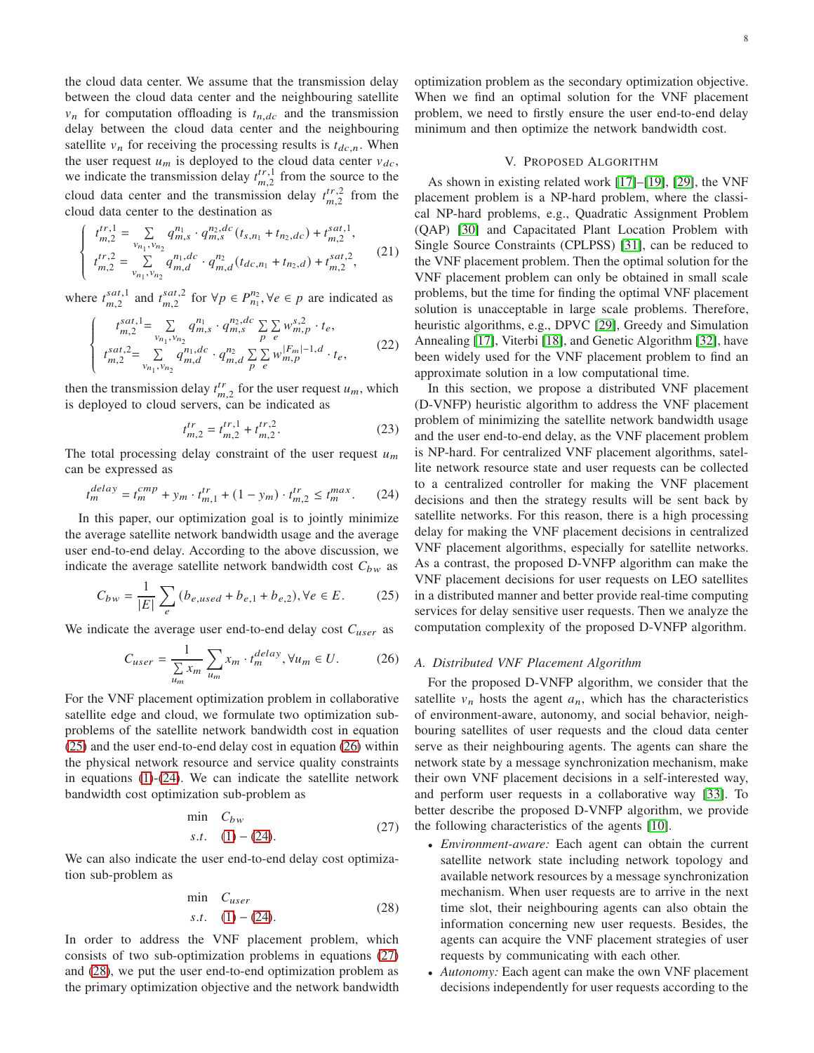the cloud data center. We assume that the transmission delay between the cloud data center and the neighbouring satellite  $v_n$  for computation offloading is  $t_{n,dc}$  and the transmission delay between the cloud data center and the neighbouring satellite  $v_n$  for receiving the processing results is  $t_{dc,n}$ . When the user request  $u_m$  is deployed to the cloud data center  $v_{dc}$ , we indicate the transmission delay  $t_{m}^{tr,1}$  $\frac{dr,1}{m,2}$  from the source to the cloud data center and the transmission delay  $t_{m}^{tr,2}$  $_{m,2}^{tr,2}$  from the cloud data center to the destination as

$$
\begin{cases}\n t_{m,2}^{tr,1} = \sum_{v_{n_1}, v_{n_2}} q_{m,s}^{n_1} \cdot q_{m,s}^{n_2,dc} (t_{s,n_1} + t_{n_2,dc}) + t_{m,2}^{sat,1}, \\
t_{m,2}^{tr,2} = \sum_{v_{n_1}, v_{n_2}} q_{m,d}^{n_1,dc} \cdot q_{m,d}^{n_2} (t_{dc,n_1} + t_{n_2,d}) + t_{m,2}^{sat,2},\n\end{cases} (21)
$$

where  $t_{m}^{sat,1}$  $_{m,2}^{sat,1}$  and  $t_{m,2}^{sat,2}$  $\sum_{m,2}^{sat,2}$  for  $\forall p \in P_{n_1}^{n_2}, \forall e \in p$  are indicated as

 $\int$ 

 $\overline{\mathcal{L}}$  $\overline{\phantom{a}}$ 

$$
t_{m,2}^{sat,1} = \sum_{v_{n_1}, v_{n_2}} q_{m,s}^{n_1} \cdot q_{m,s}^{n_2,dc} \sum_{p} \sum_{e} w_{m,p}^{s,2} \cdot t_e,
$$
  
\n
$$
t_{m,2}^{sat,2} = \sum_{v_{n_1}, v_{n_2}} q_{m,d}^{n_1,dc} \cdot q_{m,d}^{n_2} \sum_{p} \sum_{e} w_{m,p}^{|F_m|-1,d} \cdot t_e,
$$
\n(22)

then the transmission delay  $t_{m,2}^{tr}$  for the user request  $u_m$ , which is deployed to cloud servers, can be indicated as

$$
t_{m,2}^{tr} = t_{m,2}^{tr,1} + t_{m,2}^{tr,2}.
$$
 (23)

The total processing delay constraint of the user request  $u_m$ can be expressed as

<span id="page-7-3"></span>
$$
t_m^{delay} = t_m^{cmp} + y_m \cdot t_{m,1}^{tr} + (1 - y_m) \cdot t_{m,2}^{tr} \le t_m^{max}.
$$
 (24)

In this paper, our optimization goal is to jointly minimize the average satellite network bandwidth usage and the average user end-to-end delay. According to the above discussion, we indicate the average satellite network bandwidth cost  $C_{bw}$  as

<span id="page-7-1"></span>
$$
C_{bw} = \frac{1}{|E|} \sum_{e} (b_{e, used} + b_{e,1} + b_{e,2}), \forall e \in E.
$$
 (25)

We indicate the average user end-to-end delay cost  $C_{user}$  as

<span id="page-7-2"></span>
$$
C_{user} = \frac{1}{\sum_{u_m} x_m} \sum_{u_m} x_m \cdot t_m^{delay}, \forall u_m \in U.
$$
 (26)

For the VNF placement optimization problem in collaborative satellite edge and cloud, we formulate two optimization subproblems of the satellite network bandwidth cost in equation [\(25\)](#page-7-1) and the user end-to-end delay cost in equation [\(26\)](#page-7-2) within the physical network resource and service quality constraints in equations [\(1\)](#page-5-1)-[\(24\)](#page-7-3). We can indicate the satellite network bandwidth cost optimization sub-problem as

<span id="page-7-4"></span>
$$
\min_{s.t.} C_{bw} \tag{27}
$$
\n
$$
s.t. (1) - (24). \tag{27}
$$

We can also indicate the user end-to-end delay cost optimization sub-problem as

<span id="page-7-5"></span>
$$
\min_{s.t.} C_{user} \tag{28}
$$
\n
$$
s.t. (1) - (24).
$$

In order to address the VNF placement problem, which consists of two sub-optimization problems in equations [\(27\)](#page-7-4) and [\(28\)](#page-7-5), we put the user end-to-end optimization problem as the primary optimization objective and the network bandwidth 8

optimization problem as the secondary optimization objective. When we find an optimal solution for the VNF placement problem, we need to firstly ensure the user end-to-end delay minimum and then optimize the network bandwidth cost.

### V. PROPOSED ALGORITHM

<span id="page-7-0"></span>As shown in existing related work [\[17\]](#page-14-8)–[\[19\]](#page-14-10), [\[29\]](#page-14-18), the VNF placement problem is a NP-hard problem, where the classical NP-hard problems, e.g., Quadratic Assignment Problem (QAP) [\[30\]](#page-14-19) and Capacitated Plant Location Problem with Single Source Constraints (CPLPSS) [\[31\]](#page-14-20), can be reduced to the VNF placement problem. Then the optimal solution for the VNF placement problem can only be obtained in small scale problems, but the time for finding the optimal VNF placement solution is unacceptable in large scale problems. Therefore, heuristic algorithms, e.g., DPVC [\[29\]](#page-14-18), Greedy and Simulation Annealing [\[17\]](#page-14-8), Viterbi [\[18\]](#page-14-9), and Genetic Algorithm [\[32\]](#page-14-21), have been widely used for the VNF placement problem to find an approximate solution in a low computational time.

In this section, we propose a distributed VNF placement (D-VNFP) heuristic algorithm to address the VNF placement problem of minimizing the satellite network bandwidth usage and the user end-to-end delay, as the VNF placement problem is NP-hard. For centralized VNF placement algorithms, satellite network resource state and user requests can be collected to a centralized controller for making the VNF placement decisions and then the strategy results will be sent back by satellite networks. For this reason, there is a high processing delay for making the VNF placement decisions in centralized VNF placement algorithms, especially for satellite networks. As a contrast, the proposed D-VNFP algorithm can make the VNF placement decisions for user requests on LEO satellites in a distributed manner and better provide real-time computing services for delay sensitive user requests. Then we analyze the computation complexity of the proposed D-VNFP algorithm.

# *A. Distributed VNF Placement Algorithm*

For the proposed D-VNFP algorithm, we consider that the satellite  $v_n$  hosts the agent  $a_n$ , which has the characteristics of environment-aware, autonomy, and social behavior, neighbouring satellites of user requests and the cloud data center serve as their neighbouring agents. The agents can share the network state by a message synchronization mechanism, make their own VNF placement decisions in a self-interested way, and perform user requests in a collaborative way [\[33\]](#page-14-22). To better describe the proposed D-VNFP algorithm, we provide the following characteristics of the agents [\[10\]](#page-14-1).

- *Environment-aware:* Each agent can obtain the current satellite network state including network topology and available network resources by a message synchronization mechanism. When user requests are to arrive in the next time slot, their neighbouring agents can also obtain the information concerning new user requests. Besides, the agents can acquire the VNF placement strategies of user requests by communicating with each other.
- *Autonomy:* Each agent can make the own VNF placement decisions independently for user requests according to the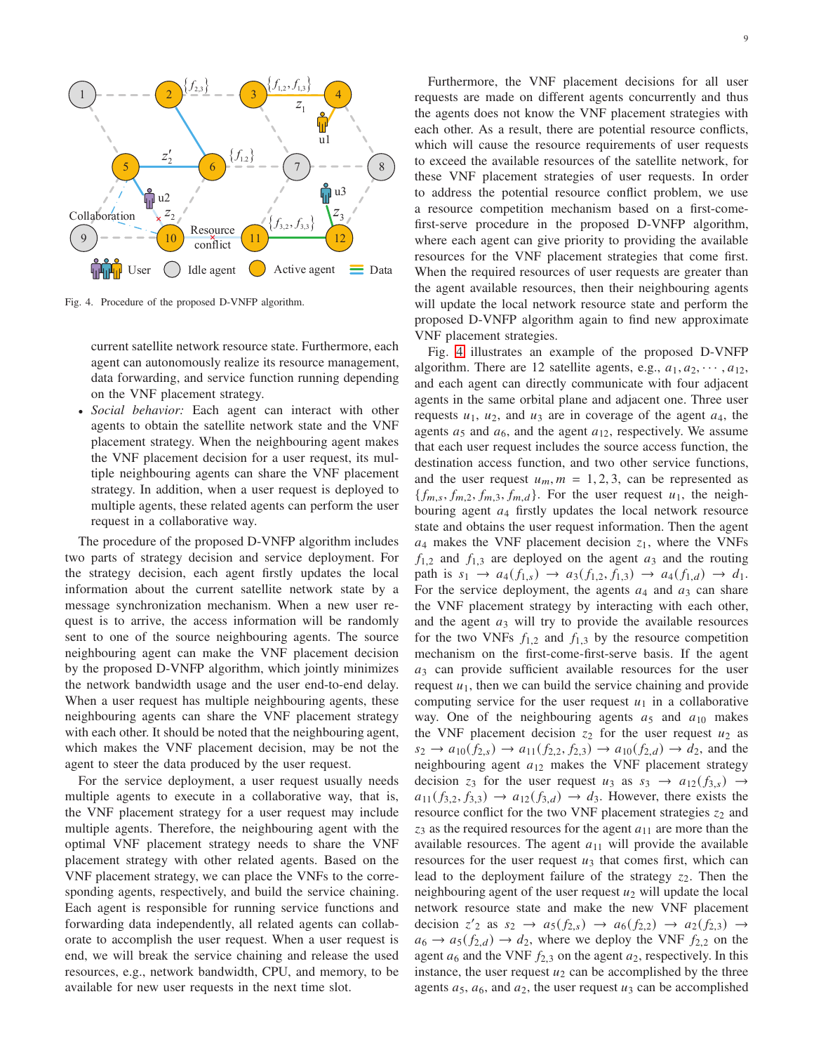

Fig. 4. Procedure of the proposed D-VNFP algorithm.

<span id="page-8-0"></span>current satellite network resource state. Furthermore, each agent can autonomously realize its resource management, data forwarding, and service function running depending on the VNF placement strategy.

• *Social behavior:* Each agent can interact with other agents to obtain the satellite network state and the VNF placement strategy. When the neighbouring agent makes the VNF placement decision for a user request, its multiple neighbouring agents can share the VNF placement strategy. In addition, when a user request is deployed to multiple agents, these related agents can perform the user request in a collaborative way.

The procedure of the proposed D-VNFP algorithm includes two parts of strategy decision and service deployment. For the strategy decision, each agent firstly updates the local information about the current satellite network state by a message synchronization mechanism. When a new user request is to arrive, the access information will be randomly sent to one of the source neighbouring agents. The source neighbouring agent can make the VNF placement decision by the proposed D-VNFP algorithm, which jointly minimizes the network bandwidth usage and the user end-to-end delay. When a user request has multiple neighbouring agents, these neighbouring agents can share the VNF placement strategy with each other. It should be noted that the neighbouring agent, which makes the VNF placement decision, may be not the agent to steer the data produced by the user request.

For the service deployment, a user request usually needs multiple agents to execute in a collaborative way, that is, the VNF placement strategy for a user request may include multiple agents. Therefore, the neighbouring agent with the optimal VNF placement strategy needs to share the VNF placement strategy with other related agents. Based on the VNF placement strategy, we can place the VNFs to the corresponding agents, respectively, and build the service chaining. Each agent is responsible for running service functions and forwarding data independently, all related agents can collaborate to accomplish the user request. When a user request is end, we will break the service chaining and release the used resources, e.g., network bandwidth, CPU, and memory, to be available for new user requests in the next time slot.

Furthermore, the VNF placement decisions for all user requests are made on different agents concurrently and thus the agents does not know the VNF placement strategies with each other. As a result, there are potential resource conflicts, which will cause the resource requirements of user requests to exceed the available resources of the satellite network, for these VNF placement strategies of user requests. In order to address the potential resource conflict problem, we use a resource competition mechanism based on a first-comefirst-serve procedure in the proposed D-VNFP algorithm, where each agent can give priority to providing the available resources for the VNF placement strategies that come first. When the required resources of user requests are greater than the agent available resources, then their neighbouring agents will update the local network resource state and perform the proposed D-VNFP algorithm again to find new approximate VNF placement strategies.

Fig. [4](#page-8-0) illustrates an example of the proposed D-VNFP algorithm. There are 12 satellite agents, e.g.,  $a_1, a_2, \dots, a_{12}$ , and each agent can directly communicate with four adjacent agents in the same orbital plane and adjacent one. Three user requests  $u_1$ ,  $u_2$ , and  $u_3$  are in coverage of the agent  $a_4$ , the agents  $a_5$  and  $a_6$ , and the agent  $a_{12}$ , respectively. We assume that each user request includes the source access function, the destination access function, and two other service functions, and the user request  $u_m$ ,  $m = 1, 2, 3$ , can be represented as  ${f_{m,s}, f_{m,2}, f_{m,3}, f_{m,d}}$ . For the user request  $u_1$ , the neighbouring agent  $a_4$  firstly updates the local network resource state and obtains the user request information. Then the agent  $a_4$  makes the VNF placement decision  $z_1$ , where the VNFs  $f_{1,2}$  and  $f_{1,3}$  are deployed on the agent  $a_3$  and the routing path is  $s_1 \to a_4(f_{1,s}) \to a_3(f_{1,2}, f_{1,3}) \to a_4(f_{1,d}) \to d_1.$ For the service deployment, the agents  $a_4$  and  $a_3$  can share the VNF placement strategy by interacting with each other, and the agent  $a_3$  will try to provide the available resources for the two VNFs  $f_{1,2}$  and  $f_{1,3}$  by the resource competition mechanism on the first-come-first-serve basis. If the agent  $a_3$  can provide sufficient available resources for the user request  $u_1$ , then we can build the service chaining and provide computing service for the user request  $u_1$  in a collaborative way. One of the neighbouring agents  $a_5$  and  $a_{10}$  makes the VNF placement decision  $z_2$  for the user request  $u_2$  as  $s_2 \to a_{10}(f_{2,s}) \to a_{11}(f_{2,2}, f_{2,3}) \to a_{10}(f_{2,d}) \to d_2$ , and the neighbouring agent  $a_{12}$  makes the VNF placement strategy decision  $z_3$  for the user request  $u_3$  as  $s_3 \rightarrow a_{12}(f_{3,s}) \rightarrow a_{12}(f_{3,s})$  $a_{11}(f_{3,2}, f_{3,3}) \rightarrow a_{12}(f_{3,d}) \rightarrow d_3$ . However, there exists the resource conflict for the two VNF placement strategies  $z_2$  and  $z_3$  as the required resources for the agent  $a_{11}$  are more than the available resources. The agent  $a_{11}$  will provide the available resources for the user request  $u_3$  that comes first, which can lead to the deployment failure of the strategy  $z_2$ . Then the neighbouring agent of the user request  $u_2$  will update the local network resource state and make the new VNF placement decision  $z'_{2}$  as  $s_{2} \rightarrow a_{5}(f_{2,s}) \rightarrow a_{6}(f_{2,2}) \rightarrow a_{2}(f_{2,3}) \rightarrow$  $a_6 \rightarrow a_5(f_{2,d}) \rightarrow d_2$ , where we deploy the VNF  $f_{2,2}$  on the agent  $a_6$  and the VNF  $f_{2,3}$  on the agent  $a_2$ , respectively. In this instance, the user request  $u_2$  can be accomplished by the three agents  $a_5$ ,  $a_6$ , and  $a_2$ , the user request  $u_3$  can be accomplished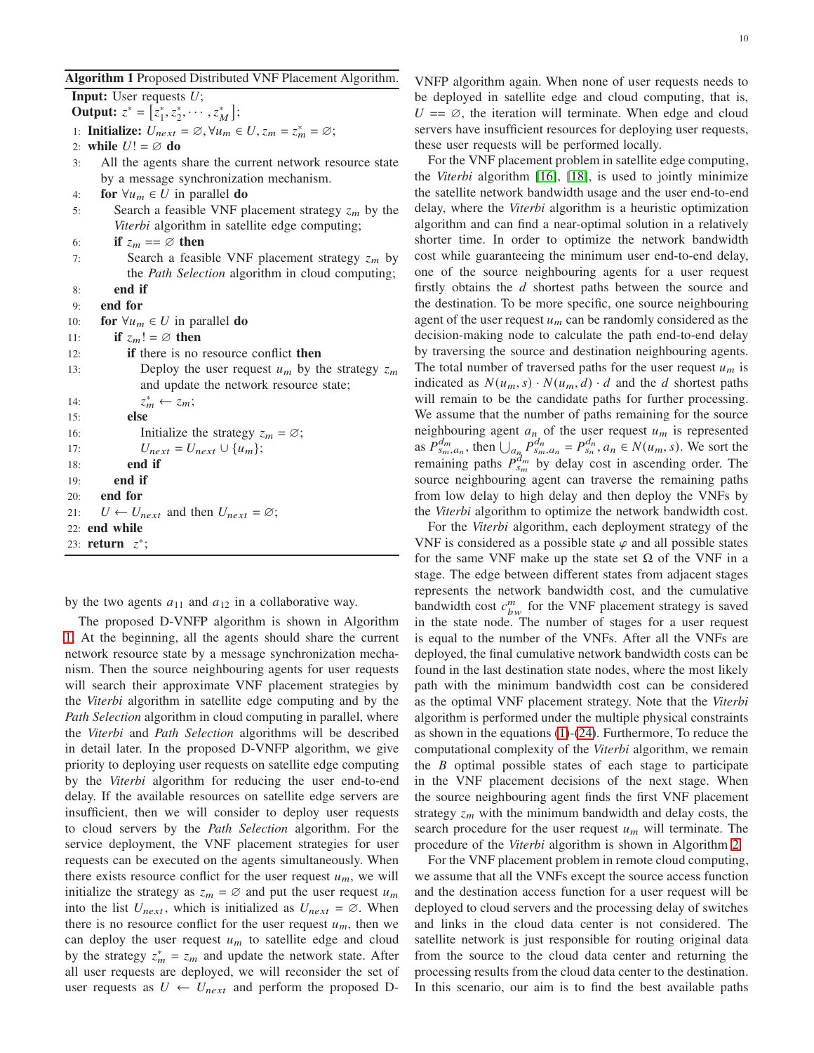### <span id="page-9-0"></span>Algorithm 1 Proposed Distributed VNF Placement Algorithm.

**Input:** User requests  $U$ ; Output:  $z^* = [z_1^*, z_2^*, \cdots, z_M^*];$ 1: **Initialize:**  $U_{next} = \emptyset$ ,  $\forall u_m \in U$ ,  $z_m = z_m^* = \emptyset$ ;

2: while  $U! = \emptyset$  do

- 3: All the agents share the current network resource state by a message synchronization mechanism.
- 4: for  $\forall u_m \in U$  in parallel do
- 5: Search a feasible VNF placement strategy  $z_m$  by the *Viterbi* algorithm in satellite edge computing;
- 6: if  $z_m == \emptyset$  then
- 7: Search a feasible VNF placement strategy  $z_m$  by the *Path Selection* algorithm in cloud computing;
- 8: end if

```
9: end for
```
10: for  $\forall u_m \in U$  in parallel do

11: **if**  $z_m! = \emptyset$  then

| 12: | <b>if</b> there is no resource conflict <b>then</b>             |
|-----|-----------------------------------------------------------------|
| 13: | Deploy the user request $u_m$ by the strategy $z_m$             |
|     | and update the network resource state;                          |
| 14: | $z_m^* \leftarrow z_m;$                                         |
| 15: | else                                                            |
| 16: | Initialize the strategy $z_m = \emptyset$ ;                     |
| 17: | $U_{next} = U_{next} \cup \{u_m\};$                             |
| 18: | end if                                                          |
| 19: | end if                                                          |
|     | $20:$ end for                                                   |
|     | 21: $U \leftarrow U_{next}$ and then $U_{next} = \varnothing$ ; |
|     | $22:$ end while                                                 |
|     | 23: return $z^*$ ;                                              |

by the two agents  $a_{11}$  and  $a_{12}$  in a collaborative way.

The proposed D-VNFP algorithm is shown in Algorithm [1.](#page-9-0) At the beginning, all the agents should share the current network resource state by a message synchronization mechanism. Then the source neighbouring agents for user requests will search their approximate VNF placement strategies by the *Viterbi* algorithm in satellite edge computing and by the *Path Selection* algorithm in cloud computing in parallel, where the *Viterbi* and *Path Selection* algorithms will be described in detail later. In the proposed D-VNFP algorithm, we give priority to deploying user requests on satellite edge computing by the *Viterbi* algorithm for reducing the user end-to-end delay. If the available resources on satellite edge servers are insufficient, then we will consider to deploy user requests to cloud servers by the *Path Selection* algorithm. For the service deployment, the VNF placement strategies for user requests can be executed on the agents simultaneously. When there exists resource conflict for the user request  $u_m$ , we will initialize the strategy as  $z_m = \emptyset$  and put the user request  $u_m$ into the list  $U_{next}$ , which is initialized as  $U_{next} = \emptyset$ . When there is no resource conflict for the user request  $u_m$ , then we can deploy the user request  $u_m$  to satellite edge and cloud by the strategy  $z_m^* = z_m$  and update the network state. After all user requests are deployed, we will reconsider the set of user requests as  $U \leftarrow U_{next}$  and perform the proposed D- VNFP algorithm again. When none of user requests needs to be deployed in satellite edge and cloud computing, that is,  $U = \emptyset$ , the iteration will terminate. When edge and cloud servers have insufficient resources for deploying user requests, these user requests will be performed locally.

For the VNF placement problem in satellite edge computing, the *Viterbi* algorithm [\[16\]](#page-14-7), [\[18\]](#page-14-9), is used to jointly minimize the satellite network bandwidth usage and the user end-to-end delay, where the *Viterbi* algorithm is a heuristic optimization algorithm and can find a near-optimal solution in a relatively shorter time. In order to optimize the network bandwidth cost while guaranteeing the minimum user end-to-end delay, one of the source neighbouring agents for a user request firstly obtains the  $d$  shortest paths between the source and the destination. To be more specific, one source neighbouring agent of the user request  $u_m$  can be randomly considered as the decision-making node to calculate the path end-to-end delay by traversing the source and destination neighbouring agents. The total number of traversed paths for the user request  $u_m$  is indicated as  $N(u_m, s) \cdot N(u_m, d) \cdot d$  and the d shortest paths will remain to be the candidate paths for further processing. We assume that the number of paths remaining for the source neighbouring agent  $a_n$  of the user request  $u_m$  is represented as  $P_{s_m,a_n}^{d_m}$ , then  $\bigcup_{a_n} P_{s_m,a_n}^{d_n} = P_{s_n}^{d_n}$ ,  $a_n \in N(u_m, s)$ . We sort the remaining paths  $P_{s_m}^{d_m}$  by delay cost in ascending order. The source neighbouring agent can traverse the remaining paths from low delay to high delay and then deploy the VNFs by the *Viterbi* algorithm to optimize the network bandwidth cost.

For the *Viterbi* algorithm, each deployment strategy of the VNF is considered as a possible state  $\varphi$  and all possible states for the same VNF make up the state set  $\Omega$  of the VNF in a stage. The edge between different states from adjacent stages represents the network bandwidth cost, and the cumulative bandwidth cost  $c_{bw}^m$  for the VNF placement strategy is saved in the state node. The number of stages for a user request is equal to the number of the VNFs. After all the VNFs are deployed, the final cumulative network bandwidth costs can be found in the last destination state nodes, where the most likely path with the minimum bandwidth cost can be considered as the optimal VNF placement strategy. Note that the *Viterbi* algorithm is performed under the multiple physical constraints as shown in the equations [\(1\)](#page-5-1)-[\(24\)](#page-7-3). Furthermore, To reduce the computational complexity of the *Viterbi* algorithm, we remain the  $B$  optimal possible states of each stage to participate in the VNF placement decisions of the next stage. When the source neighbouring agent finds the first VNF placement strategy  $z_m$  with the minimum bandwidth and delay costs, the search procedure for the user request  $u_m$  will terminate. The procedure of the *Viterbi* algorithm is shown in Algorithm [2.](#page-10-0)

For the VNF placement problem in remote cloud computing, we assume that all the VNFs except the source access function and the destination access function for a user request will be deployed to cloud servers and the processing delay of switches and links in the cloud data center is not considered. The satellite network is just responsible for routing original data from the source to the cloud data center and returning the processing results from the cloud data center to the destination. In this scenario, our aim is to find the best available paths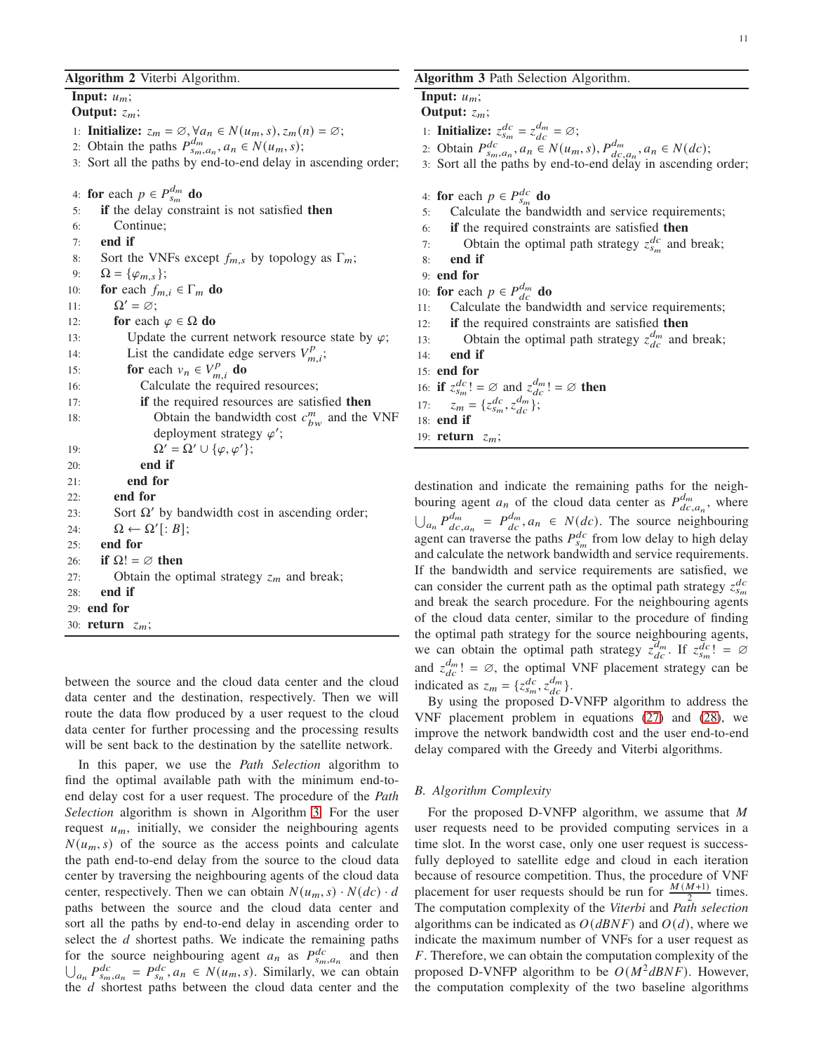### 11

### <span id="page-10-0"></span>Algorithm 2 Viterbi Algorithm.

Input:  $u_m$ ;

Output:  $z_m$ ;

- 1: **Initialize:**  $z_m = \emptyset$ ,  $\forall a_n \in N(u_m, s)$ ,  $z_m(n) = \emptyset$ ;
- 2: Obtain the paths  $P_{s_m,a_n}^{d_m}, a_n \in N(u_m, s);$
- 3: Sort all the paths by end-to-end delay in ascending order;

4: for each  $p \in P_{s_m}^{d_m}$  do

| 5:  | <b>if</b> the delay constraint is not satisfied <b>then</b> |
|-----|-------------------------------------------------------------|
| 6:  | Continue:                                                   |
| 7:  | end if                                                      |
| 8:  | Sort the VNFs except $f_{m,s}$ by topology as $\Gamma_m$ ;  |
| 9:  | $\Omega = {\varphi_{m,s}};$                                 |
| 10: | for each $f_{m,i} \in \Gamma_m$ do                          |
| 11: | $\Omega' = \varnothing;$                                    |
| 12: | for each $\varphi \in \Omega$ do                            |
| 13: | Update the current network resource state by $\varphi$ ;    |
| 14: | List the candidate edge servers $V_{m,i}^p$ ;               |
| 15: | for each $v_n \in V_{m,i}^p$ do                             |
| 16: | Calculate the required resources;                           |
| 17: | if the required resources are satisfied then                |
| 18: | Obtain the bandwidth cost $c_{hw}^m$ and the VNF            |
|     | deployment strategy $\varphi'$ ;                            |
| 19: | $\Omega' = \Omega' \cup {\varphi, \varphi'};$               |
| 20: | end if                                                      |
| 21: | end for                                                     |
| 22: | end for                                                     |
| 23: | Sort $\Omega'$ by bandwidth cost in ascending order;        |
| 24: | $\Omega \leftarrow \Omega'[:B];$                            |
| 25: | end for                                                     |
| 26: | if $\Omega! = \emptyset$ then                               |
| 27: | Obtain the optimal strategy $z_m$ and break;                |
| 28: | end if                                                      |
|     | $29:$ end for                                               |
|     | 30: return $z_m$ ;                                          |

between the source and the cloud data center and the cloud data center and the destination, respectively. Then we will route the data flow produced by a user request to the cloud data center for further processing and the processing results will be sent back to the destination by the satellite network.

In this paper, we use the *Path Selection* algorithm to find the optimal available path with the minimum end-toend delay cost for a user request. The procedure of the *Path Selection* algorithm is shown in Algorithm [3.](#page-10-1) For the user request  $u_m$ , initially, we consider the neighbouring agents  $N(u_m, s)$  of the source as the access points and calculate the path end-to-end delay from the source to the cloud data center by traversing the neighbouring agents of the cloud data center, respectively. Then we can obtain  $N(u_m, s) \cdot N(dc) \cdot d$ paths between the source and the cloud data center and sort all the paths by end-to-end delay in ascending order to select the  $d$  shortest paths. We indicate the remaining paths for the source neighbouring agent  $a_n$  as  $P_{s_m,a_n}^{dc}$  and then  $\bigcup_{a_n} P_{s_m, a_n}^{dc} = P_{s_n}^{dc}, a_n \in N(u_m, s)$ . Similarly, we can obtain the  $d$  shortest paths between the cloud data center and the

# <span id="page-10-1"></span>Algorithm 3 Path Selection Algorithm.

Input:  $u_m$ ;

Output:  $z_m$ ;

- 1: **Initialize:**  $z_{s_m}^{dc} = z_{dc}^{d_m} = \varnothing$ ;
- 2: Obtain  $P_{s_m, a_n}^{dc}$ ,  $a_n \in N(u_m, s)$ ,  $P_{dc, a_n}^{dm}$ ,  $a_n \in N(dc)$ ;

3: Sort all the paths by end-to-end delay in ascending order;

- 4: for each  $p \in P_{s_m}^{dc}$  do
- 5: Calculate the bandwidth and service requirements;
- 6: if the required constraints are satisfied then
- 7: Obtain the optimal path strategy  $z_{s_m}^{dc}$  and break;
- 8: end if

```
9: end for
```
10: **for** each  $p \in P_{dc}^{d_m}$  **do** 

11: Calculate the bandwidth and service requirements;

- 12: if the required constraints are satisfied then
- 13: Obtain the optimal path strategy  $z_{dc}^{d_m}$  and break;
- 14: end if
- 15: end for
- 16: if  $z_{s_m}^{dc}! = \varnothing$  and  $z_{dc}^{d_m}! = \varnothing$  then

17: 
$$
z_m = \{z_{s_m}^{dc}, z_{dc}^{d_m}\};
$$

- 18: end if
- 19: return  $z_m$ ;

destination and indicate the remaining paths for the neighbouring agent  $a_n$  of the cloud data center as  $P_{dc}^{dm}$  $\frac{a_m}{dc}$ , where  $\bigcup_{a_n} P_{dc}^{d_m}$  $\frac{d_m}{dc}$ ,  $P_{dc}^{dm}$ ,  $a_n \in N(dc)$ . The source neighbouring agent can traverse the paths  $P_{s_m}^{dc}$  from low delay to high delay and calculate the network bandwidth and service requirements. If the bandwidth and service requirements are satisfied, we can consider the current path as the optimal path strategy  $z_{s_m}^{dc}$ and break the search procedure. For the neighbouring agents of the cloud data center, similar to the procedure of finding the optimal path strategy for the source neighbouring agents, we can obtain the optimal path strategy  $z_{dc}^{d_m}$ . If  $z_{s_m}^{dc}$  =  $\varnothing$ and  $z_{dc}^{d_m}$ ! =  $\varnothing$ , the optimal VNF placement strategy can be indicated as  $z_m = \{z_{s_m}^{dc}, z_{dc}^{dm}\}.$ 

By using the proposed D-VNFP algorithm to address the VNF placement problem in equations [\(27\)](#page-7-4) and [\(28\)](#page-7-5), we improve the network bandwidth cost and the user end-to-end delay compared with the Greedy and Viterbi algorithms.

# *B. Algorithm Complexity*

For the proposed D-VNFP algorithm, we assume that  $M$ user requests need to be provided computing services in a time slot. In the worst case, only one user request is successfully deployed to satellite edge and cloud in each iteration because of resource competition. Thus, the procedure of VNF placement for user requests should be run for  $\frac{M(M+1)}{2}$  times. The computation complexity of the *Viterbi* and *Path selection* algorithms can be indicated as  $O(dBNF)$  and  $O(d)$ , where we indicate the maximum number of VNFs for a user request as  $F$ . Therefore, we can obtain the computation complexity of the proposed D-VNFP algorithm to be  $O(M^2dBNF)$ . However, the computation complexity of the two baseline algorithms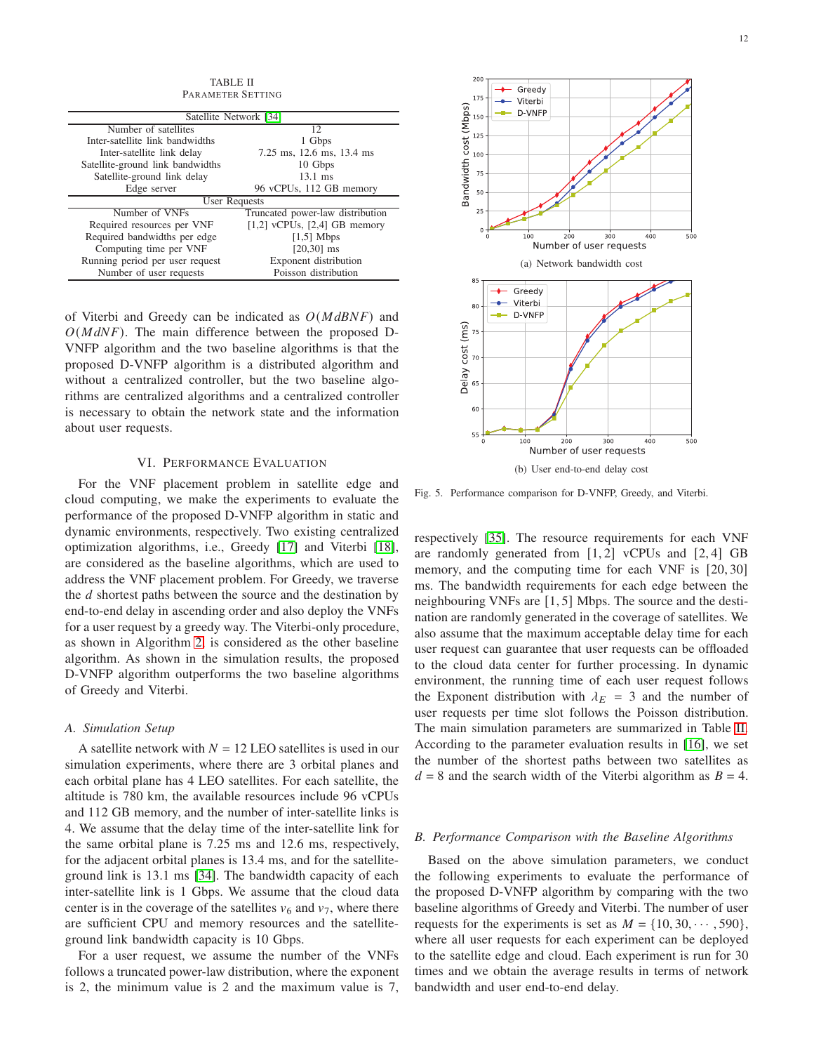<span id="page-11-1"></span>

| TA DI JP. 11                     |                                  |  |  |  |
|----------------------------------|----------------------------------|--|--|--|
| PARAMETER SETTING                |                                  |  |  |  |
|                                  |                                  |  |  |  |
| Satellite Network [34]           |                                  |  |  |  |
| Number of satellites             | 12                               |  |  |  |
| Inter-satellite link bandwidths  | 1 Gbps                           |  |  |  |
| Inter-satellite link delay       | 7.25 ms, 12.6 ms, 13.4 ms        |  |  |  |
| Satellite-ground link bandwidths | 10 Gbps                          |  |  |  |
| Satellite-ground link delay      | $13.1 \text{ ms}$                |  |  |  |
| Edge server                      | 96 vCPUs, 112 GB memory          |  |  |  |
| <b>User Requests</b>             |                                  |  |  |  |
| Number of VNFs                   | Truncated power-law distribution |  |  |  |
| Required resources per VNF       | $[1,2]$ vCPUs, $[2,4]$ GB memory |  |  |  |
| Required bandwidths per edge     | $[1,5]$ Mbps                     |  |  |  |
| Computing time per VNF           | $[20,30]$ ms                     |  |  |  |
| Running period per user request  | Exponent distribution            |  |  |  |
| Number of user requests          | Poisson distribution             |  |  |  |

TABLE II

of Viterbi and Greedy can be indicated as  $O(MdBNF)$  and  $O(MdNF)$ . The main difference between the proposed D-VNFP algorithm and the two baseline algorithms is that the proposed D-VNFP algorithm is a distributed algorithm and without a centralized controller, but the two baseline algorithms are centralized algorithms and a centralized controller is necessary to obtain the network state and the information about user requests.

# VI. PERFORMANCE EVALUATION

<span id="page-11-0"></span>For the VNF placement problem in satellite edge and cloud computing, we make the experiments to evaluate the performance of the proposed D-VNFP algorithm in static and dynamic environments, respectively. Two existing centralized optimization algorithms, i.e., Greedy [\[17\]](#page-14-8) and Viterbi [\[18\]](#page-14-9), are considered as the baseline algorithms, which are used to address the VNF placement problem. For Greedy, we traverse the d shortest paths between the source and the destination by end-to-end delay in ascending order and also deploy the VNFs for a user request by a greedy way. The Viterbi-only procedure, as shown in Algorithm [2,](#page-10-0) is considered as the other baseline algorithm. As shown in the simulation results, the proposed D-VNFP algorithm outperforms the two baseline algorithms of Greedy and Viterbi.

### *A. Simulation Setup*

A satellite network with  $N = 12$  LEO satellites is used in our simulation experiments, where there are 3 orbital planes and each orbital plane has 4 LEO satellites. For each satellite, the altitude is 780 km, the available resources include 96 vCPUs and 112 GB memory, and the number of inter-satellite links is 4. We assume that the delay time of the inter-satellite link for the same orbital plane is 7.25 ms and 12.6 ms, respectively, for the adjacent orbital planes is 13.4 ms, and for the satelliteground link is 13.1 ms [\[34\]](#page-14-23). The bandwidth capacity of each inter-satellite link is 1 Gbps. We assume that the cloud data center is in the coverage of the satellites  $v_6$  and  $v_7$ , where there are sufficient CPU and memory resources and the satelliteground link bandwidth capacity is 10 Gbps.

For a user request, we assume the number of the VNFs follows a truncated power-law distribution, where the exponent is 2, the minimum value is 2 and the maximum value is 7,

<span id="page-11-3"></span>

<span id="page-11-4"></span><span id="page-11-2"></span>Fig. 5. Performance comparison for D-VNFP, Greedy, and Viterbi.

respectively [\[35\]](#page-14-24). The resource requirements for each VNF are randomly generated from  $[1, 2]$  vCPUs and  $[2, 4]$  GB memory, and the computing time for each VNF is [20, 30] ms. The bandwidth requirements for each edge between the neighbouring VNFs are [1, 5] Mbps. The source and the destination are randomly generated in the coverage of satellites. We also assume that the maximum acceptable delay time for each user request can guarantee that user requests can be offloaded to the cloud data center for further processing. In dynamic environment, the running time of each user request follows the Exponent distribution with  $\lambda_E = 3$  and the number of user requests per time slot follows the Poisson distribution. The main simulation parameters are summarized in Table [II.](#page-11-1) According to the parameter evaluation results in [\[16\]](#page-14-7), we set the number of the shortest paths between two satellites as  $d = 8$  and the search width of the Viterbi algorithm as  $B = 4$ .

### *B. Performance Comparison with the Baseline Algorithms*

Based on the above simulation parameters, we conduct the following experiments to evaluate the performance of the proposed D-VNFP algorithm by comparing with the two baseline algorithms of Greedy and Viterbi. The number of user requests for the experiments is set as  $M = \{10, 30, \dots, 590\},\$ where all user requests for each experiment can be deployed to the satellite edge and cloud. Each experiment is run for 30 times and we obtain the average results in terms of network bandwidth and user end-to-end delay.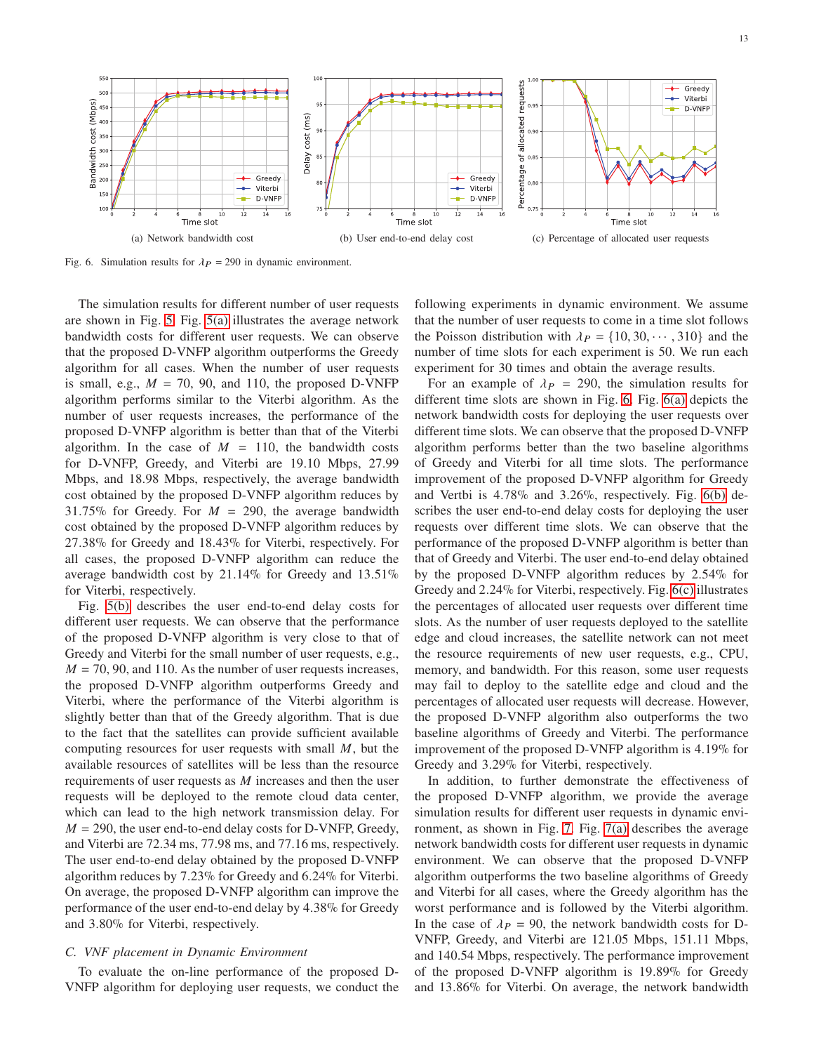<span id="page-12-1"></span>

<span id="page-12-0"></span>Fig. 6. Simulation results for  $\lambda_P = 290$  in dynamic environment.

The simulation results for different number of user requests are shown in Fig. [5.](#page-11-2) Fig. [5\(a\)](#page-11-3) illustrates the average network bandwidth costs for different user requests. We can observe that the proposed D-VNFP algorithm outperforms the Greedy algorithm for all cases. When the number of user requests is small, e.g.,  $M = 70$ , 90, and 110, the proposed D-VNFP algorithm performs similar to the Viterbi algorithm. As the number of user requests increases, the performance of the proposed D-VNFP algorithm is better than that of the Viterbi algorithm. In the case of  $M = 110$ , the bandwidth costs for D-VNFP, Greedy, and Viterbi are 19.10 Mbps, 27.99 Mbps, and 18.98 Mbps, respectively, the average bandwidth cost obtained by the proposed D-VNFP algorithm reduces by 31.75% for Greedy. For  $M = 290$ , the average bandwidth cost obtained by the proposed D-VNFP algorithm reduces by 27.38% for Greedy and 18.43% for Viterbi, respectively. For all cases, the proposed D-VNFP algorithm can reduce the average bandwidth cost by 21.14% for Greedy and 13.51% for Viterbi, respectively.

Fig. [5\(b\)](#page-11-4) describes the user end-to-end delay costs for different user requests. We can observe that the performance of the proposed D-VNFP algorithm is very close to that of Greedy and Viterbi for the small number of user requests, e.g.,  $M = 70, 90,$  and 110. As the number of user requests increases, the proposed D-VNFP algorithm outperforms Greedy and Viterbi, where the performance of the Viterbi algorithm is slightly better than that of the Greedy algorithm. That is due to the fact that the satellites can provide sufficient available computing resources for user requests with small  $M$ , but the available resources of satellites will be less than the resource requirements of user requests as  $M$  increases and then the user requests will be deployed to the remote cloud data center, which can lead to the high network transmission delay. For  $M = 290$ , the user end-to-end delay costs for D-VNFP, Greedy, and Viterbi are 72.34 ms, 77.98 ms, and 77.16 ms, respectively. The user end-to-end delay obtained by the proposed D-VNFP algorithm reduces by 7.23% for Greedy and 6.24% for Viterbi. On average, the proposed D-VNFP algorithm can improve the performance of the user end-to-end delay by 4.38% for Greedy and 3.80% for Viterbi, respectively.

### *C. VNF placement in Dynamic Environment*

To evaluate the on-line performance of the proposed D-VNFP algorithm for deploying user requests, we conduct the <span id="page-12-3"></span><span id="page-12-2"></span>following experiments in dynamic environment. We assume that the number of user requests to come in a time slot follows the Poisson distribution with  $\lambda_P = \{10, 30, \dots, 310\}$  and the number of time slots for each experiment is 50. We run each experiment for 30 times and obtain the average results.

For an example of  $\lambda_P = 290$ , the simulation results for different time slots are shown in Fig. [6.](#page-12-0) Fig. [6\(a\)](#page-12-1) depicts the network bandwidth costs for deploying the user requests over different time slots. We can observe that the proposed D-VNFP algorithm performs better than the two baseline algorithms of Greedy and Viterbi for all time slots. The performance improvement of the proposed D-VNFP algorithm for Greedy and Vertbi is 4.78% and 3.26%, respectively. Fig. [6\(b\)](#page-12-2) describes the user end-to-end delay costs for deploying the user requests over different time slots. We can observe that the performance of the proposed D-VNFP algorithm is better than that of Greedy and Viterbi. The user end-to-end delay obtained by the proposed D-VNFP algorithm reduces by 2.54% for Greedy and 2.24% for Viterbi, respectively. Fig. [6\(c\)](#page-12-3) illustrates the percentages of allocated user requests over different time slots. As the number of user requests deployed to the satellite edge and cloud increases, the satellite network can not meet the resource requirements of new user requests, e.g., CPU, memory, and bandwidth. For this reason, some user requests may fail to deploy to the satellite edge and cloud and the percentages of allocated user requests will decrease. However, the proposed D-VNFP algorithm also outperforms the two baseline algorithms of Greedy and Viterbi. The performance improvement of the proposed D-VNFP algorithm is 4.19% for Greedy and 3.29% for Viterbi, respectively.

In addition, to further demonstrate the effectiveness of the proposed D-VNFP algorithm, we provide the average simulation results for different user requests in dynamic environment, as shown in Fig. [7.](#page-13-9) Fig. [7\(a\)](#page-13-10) describes the average network bandwidth costs for different user requests in dynamic environment. We can observe that the proposed D-VNFP algorithm outperforms the two baseline algorithms of Greedy and Viterbi for all cases, where the Greedy algorithm has the worst performance and is followed by the Viterbi algorithm. In the case of  $\lambda_P = 90$ , the network bandwidth costs for D-VNFP, Greedy, and Viterbi are 121.05 Mbps, 151.11 Mbps, and 140.54 Mbps, respectively. The performance improvement of the proposed D-VNFP algorithm is 19.89% for Greedy and 13.86% for Viterbi. On average, the network bandwidth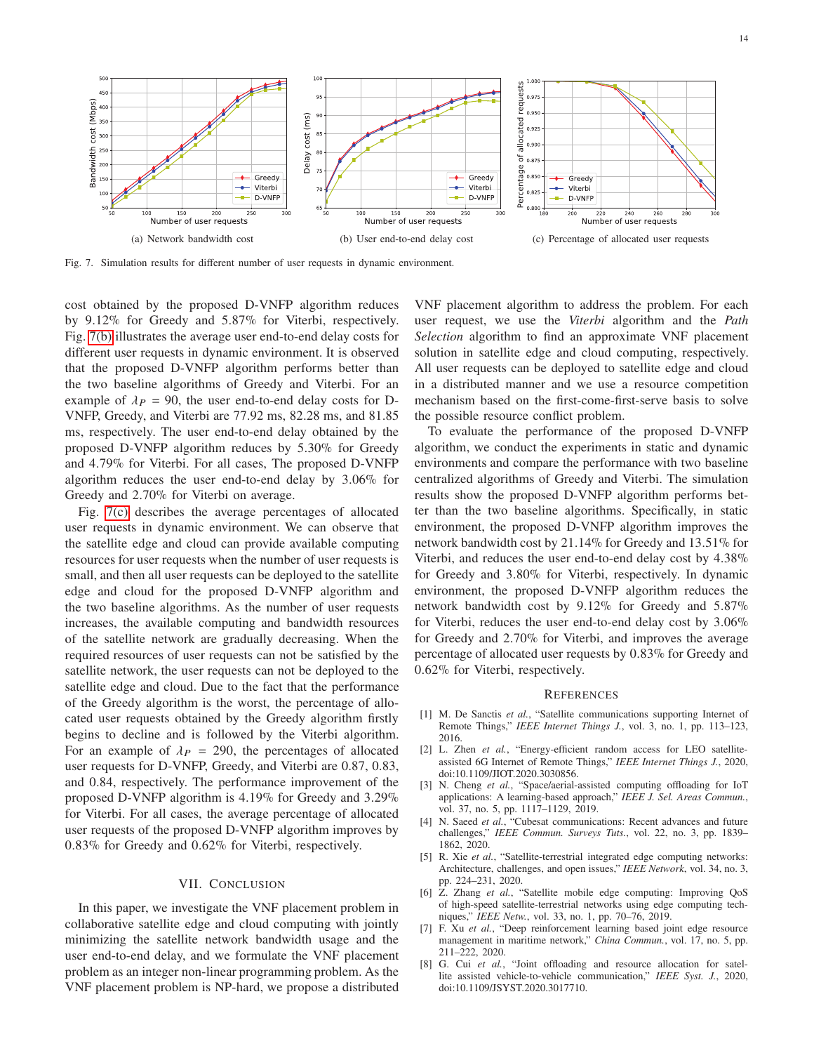<span id="page-13-10"></span>

<span id="page-13-9"></span>Fig. 7. Simulation results for different number of user requests in dynamic environment.

cost obtained by the proposed D-VNFP algorithm reduces by 9.12% for Greedy and 5.87% for Viterbi, respectively. Fig. [7\(b\)](#page-13-11) illustrates the average user end-to-end delay costs for different user requests in dynamic environment. It is observed that the proposed D-VNFP algorithm performs better than the two baseline algorithms of Greedy and Viterbi. For an example of  $\lambda_P = 90$ , the user end-to-end delay costs for D-VNFP, Greedy, and Viterbi are 77.92 ms, 82.28 ms, and 81.85 ms, respectively. The user end-to-end delay obtained by the proposed D-VNFP algorithm reduces by 5.30% for Greedy and 4.79% for Viterbi. For all cases, The proposed D-VNFP algorithm reduces the user end-to-end delay by 3.06% for Greedy and 2.70% for Viterbi on average.

Fig. [7\(c\)](#page-13-12) describes the average percentages of allocated user requests in dynamic environment. We can observe that the satellite edge and cloud can provide available computing resources for user requests when the number of user requests is small, and then all user requests can be deployed to the satellite edge and cloud for the proposed D-VNFP algorithm and the two baseline algorithms. As the number of user requests increases, the available computing and bandwidth resources of the satellite network are gradually decreasing. When the required resources of user requests can not be satisfied by the satellite network, the user requests can not be deployed to the satellite edge and cloud. Due to the fact that the performance of the Greedy algorithm is the worst, the percentage of allocated user requests obtained by the Greedy algorithm firstly begins to decline and is followed by the Viterbi algorithm. For an example of  $\lambda_P = 290$ , the percentages of allocated user requests for D-VNFP, Greedy, and Viterbi are 0.87, 0.83, and 0.84, respectively. The performance improvement of the proposed D-VNFP algorithm is 4.19% for Greedy and 3.29% for Viterbi. For all cases, the average percentage of allocated user requests of the proposed D-VNFP algorithm improves by 0.83% for Greedy and 0.62% for Viterbi, respectively.

### VII. CONCLUSION

<span id="page-13-8"></span>In this paper, we investigate the VNF placement problem in collaborative satellite edge and cloud computing with jointly minimizing the satellite network bandwidth usage and the user end-to-end delay, and we formulate the VNF placement problem as an integer non-linear programming problem. As the VNF placement problem is NP-hard, we propose a distributed

<span id="page-13-12"></span><span id="page-13-11"></span>VNF placement algorithm to address the problem. For each user request, we use the *Viterbi* algorithm and the *Path Selection* algorithm to find an approximate VNF placement solution in satellite edge and cloud computing, respectively. All user requests can be deployed to satellite edge and cloud in a distributed manner and we use a resource competition mechanism based on the first-come-first-serve basis to solve the possible resource conflict problem.

To evaluate the performance of the proposed D-VNFP algorithm, we conduct the experiments in static and dynamic environments and compare the performance with two baseline centralized algorithms of Greedy and Viterbi. The simulation results show the proposed D-VNFP algorithm performs better than the two baseline algorithms. Specifically, in static environment, the proposed D-VNFP algorithm improves the network bandwidth cost by 21.14% for Greedy and 13.51% for Viterbi, and reduces the user end-to-end delay cost by 4.38% for Greedy and 3.80% for Viterbi, respectively. In dynamic environment, the proposed D-VNFP algorithm reduces the network bandwidth cost by 9.12% for Greedy and 5.87% for Viterbi, reduces the user end-to-end delay cost by 3.06% for Greedy and 2.70% for Viterbi, and improves the average percentage of allocated user requests by 0.83% for Greedy and 0.62% for Viterbi, respectively.

### **REFERENCES**

- <span id="page-13-0"></span>[1] M. De Sanctis *et al.*, "Satellite communications supporting Internet of Remote Things," *IEEE Internet Things J.*, vol. 3, no. 1, pp. 113–123, 2016.
- <span id="page-13-1"></span>[2] L. Zhen *et al.*, "Energy-efficient random access for LEO satelliteassisted 6G Internet of Remote Things," *IEEE Internet Things J.*, 2020, doi:10.1109/JIOT.2020.3030856.
- <span id="page-13-2"></span>[3] N. Cheng *et al.*, "Space/aerial-assisted computing offloading for IoT applications: A learning-based approach," *IEEE J. Sel. Areas Commun.*, vol. 37, no. 5, pp. 1117–1129, 2019.
- <span id="page-13-7"></span>[4] N. Saeed *et al.*, "Cubesat communications: Recent advances and future challenges," *IEEE Commun. Surveys Tuts.*, vol. 22, no. 3, pp. 1839– 1862, 2020.
- <span id="page-13-3"></span>[5] R. Xie et al., "Satellite-terrestrial integrated edge computing networks: Architecture, challenges, and open issues," *IEEE Network*, vol. 34, no. 3, pp. 224–231, 2020.
- <span id="page-13-4"></span>[6] Z. Zhang *et al.*, "Satellite mobile edge computing: Improving QoS of high-speed satellite-terrestrial networks using edge computing techniques," *IEEE Netw.*, vol. 33, no. 1, pp. 70–76, 2019.
- <span id="page-13-6"></span>[7] F. Xu *et al.*, "Deep reinforcement learning based joint edge resource management in maritime network," *China Commun.*, vol. 17, no. 5, pp. 211–222, 2020.
- <span id="page-13-5"></span>[8] G. Cui *et al.*, "Joint offloading and resource allocation for satellite assisted vehicle-to-vehicle communication," *IEEE Syst. J.*, 2020, doi:10.1109/JSYST.2020.3017710.